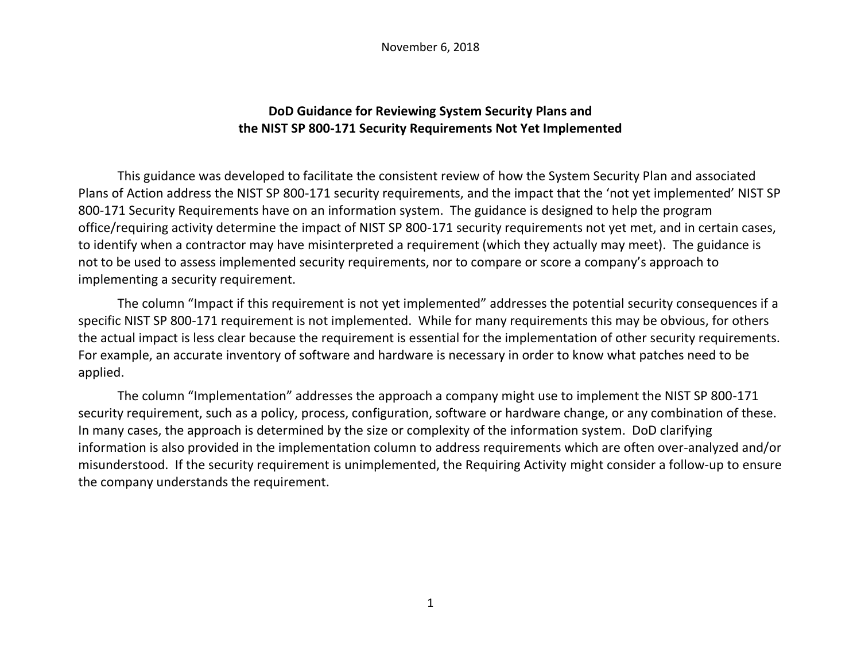November 6, 2018

## **DoD Guidance for Reviewing System Security Plans and the NIST SP 800-171 Security Requirements Not Yet Implemented**

This guidance was developed to facilitate the consistent review of how the System Security Plan and associated Plans of Action address the NIST SP 800-171 security requirements, and the impact that the 'not yet implemented' NIST SP 800-171 Security Requirements have on an information system. The guidance is designed to help the program office/requiring activity determine the impact of NIST SP 800-171 security requirements not yet met, and in certain cases, to identify when a contractor may have misinterpreted a requirement (which they actually may meet). The guidance is not to be used to assess implemented security requirements, nor to compare or score a company's approach to implementing a security requirement.

The column "Impact if this requirement is not yet implemented" addresses the potential security consequences if a specific NIST SP 800-171 requirement is not implemented. While for many requirements this may be obvious, for others the actual impact is less clear because the requirement is essential for the implementation of other security requirements. For example, an accurate inventory of software and hardware is necessary in order to know what patches need to be applied.

The column "Implementation" addresses the approach a company might use to implement the NIST SP 800-171 security requirement, such as a policy, process, configuration, software or hardware change, or any combination of these. In many cases, the approach is determined by the size or complexity of the information system. DoD clarifying information is also provided in the implementation column to address requirements which are often over-analyzed and/or misunderstood. If the security requirement is unimplemented, the Requiring Activity might consider a follow-up to ensure the company understands the requirement.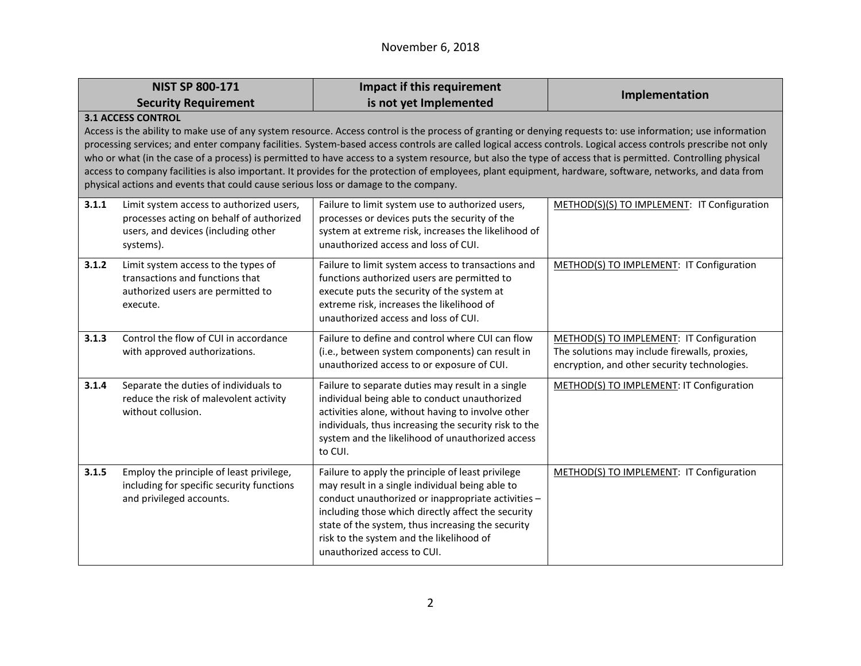## November 6, 2018

|       | <b>NIST SP 800-171</b>                                                                                                                                                                                                                                                                                                                                                                                                                                                                                                                                                                                                                                                                                                                                                          | Impact if this requirement                                                                                                                                                                                                                                                                                                                       | Implementation                                                                                                                            |
|-------|---------------------------------------------------------------------------------------------------------------------------------------------------------------------------------------------------------------------------------------------------------------------------------------------------------------------------------------------------------------------------------------------------------------------------------------------------------------------------------------------------------------------------------------------------------------------------------------------------------------------------------------------------------------------------------------------------------------------------------------------------------------------------------|--------------------------------------------------------------------------------------------------------------------------------------------------------------------------------------------------------------------------------------------------------------------------------------------------------------------------------------------------|-------------------------------------------------------------------------------------------------------------------------------------------|
|       | <b>Security Requirement</b>                                                                                                                                                                                                                                                                                                                                                                                                                                                                                                                                                                                                                                                                                                                                                     | is not yet Implemented                                                                                                                                                                                                                                                                                                                           |                                                                                                                                           |
|       | <b>3.1 ACCESS CONTROL</b><br>Access is the ability to make use of any system resource. Access control is the process of granting or denying requests to: use information; use information<br>processing services; and enter company facilities. System-based access controls are called logical access controls. Logical access controls prescribe not only<br>who or what (in the case of a process) is permitted to have access to a system resource, but also the type of access that is permitted. Controlling physical<br>access to company facilities is also important. It provides for the protection of employees, plant equipment, hardware, software, networks, and data from<br>physical actions and events that could cause serious loss or damage to the company. |                                                                                                                                                                                                                                                                                                                                                  |                                                                                                                                           |
| 3.1.1 | Limit system access to authorized users,<br>processes acting on behalf of authorized<br>users, and devices (including other<br>systems).                                                                                                                                                                                                                                                                                                                                                                                                                                                                                                                                                                                                                                        | Failure to limit system use to authorized users,<br>processes or devices puts the security of the<br>system at extreme risk, increases the likelihood of<br>unauthorized access and loss of CUI.                                                                                                                                                 | METHOD(S)(S) TO IMPLEMENT: IT Configuration                                                                                               |
| 3.1.2 | Limit system access to the types of<br>transactions and functions that<br>authorized users are permitted to<br>execute.                                                                                                                                                                                                                                                                                                                                                                                                                                                                                                                                                                                                                                                         | Failure to limit system access to transactions and<br>functions authorized users are permitted to<br>execute puts the security of the system at<br>extreme risk, increases the likelihood of<br>unauthorized access and loss of CUI.                                                                                                             | METHOD(S) TO IMPLEMENT: IT Configuration                                                                                                  |
| 3.1.3 | Control the flow of CUI in accordance<br>with approved authorizations.                                                                                                                                                                                                                                                                                                                                                                                                                                                                                                                                                                                                                                                                                                          | Failure to define and control where CUI can flow<br>(i.e., between system components) can result in<br>unauthorized access to or exposure of CUI.                                                                                                                                                                                                | METHOD(S) TO IMPLEMENT: IT Configuration<br>The solutions may include firewalls, proxies,<br>encryption, and other security technologies. |
| 3.1.4 | Separate the duties of individuals to<br>reduce the risk of malevolent activity<br>without collusion.                                                                                                                                                                                                                                                                                                                                                                                                                                                                                                                                                                                                                                                                           | Failure to separate duties may result in a single<br>individual being able to conduct unauthorized<br>activities alone, without having to involve other<br>individuals, thus increasing the security risk to the<br>system and the likelihood of unauthorized access<br>to CUI.                                                                  | METHOD(S) TO IMPLEMENT: IT Configuration                                                                                                  |
| 3.1.5 | Employ the principle of least privilege,<br>including for specific security functions<br>and privileged accounts.                                                                                                                                                                                                                                                                                                                                                                                                                                                                                                                                                                                                                                                               | Failure to apply the principle of least privilege<br>may result in a single individual being able to<br>conduct unauthorized or inappropriate activities -<br>including those which directly affect the security<br>state of the system, thus increasing the security<br>risk to the system and the likelihood of<br>unauthorized access to CUI. | METHOD(S) TO IMPLEMENT: IT Configuration                                                                                                  |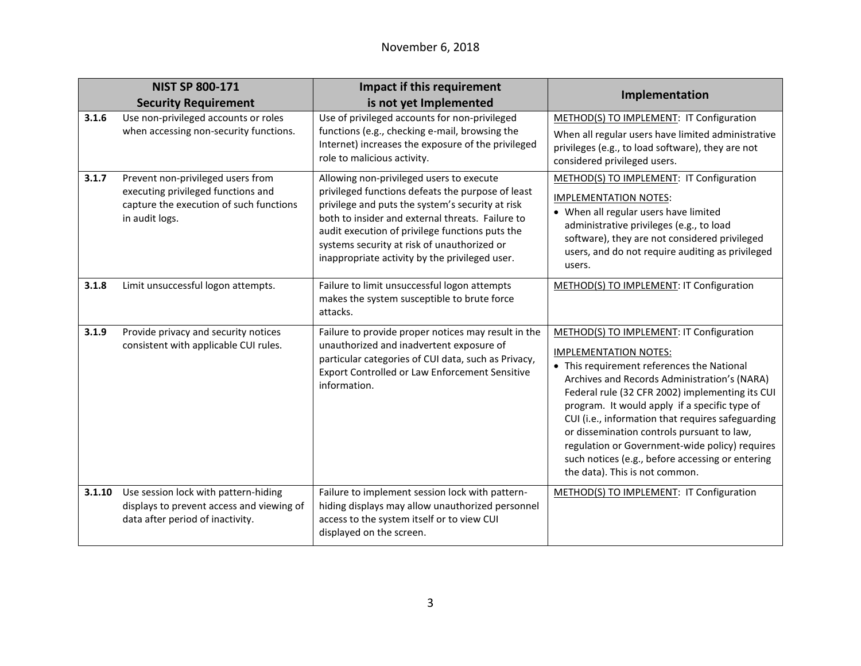|        | <b>NIST SP 800-171</b><br><b>Security Requirement</b>                                                                                | Impact if this requirement<br>is not yet Implemented                                                                                                                                                                                                                                                                                                      | Implementation                                                                                                                                                                                                                                                                                                                                                                                                                                                                                                        |
|--------|--------------------------------------------------------------------------------------------------------------------------------------|-----------------------------------------------------------------------------------------------------------------------------------------------------------------------------------------------------------------------------------------------------------------------------------------------------------------------------------------------------------|-----------------------------------------------------------------------------------------------------------------------------------------------------------------------------------------------------------------------------------------------------------------------------------------------------------------------------------------------------------------------------------------------------------------------------------------------------------------------------------------------------------------------|
| 3.1.6  | Use non-privileged accounts or roles<br>when accessing non-security functions.                                                       | Use of privileged accounts for non-privileged<br>functions (e.g., checking e-mail, browsing the<br>Internet) increases the exposure of the privileged<br>role to malicious activity.                                                                                                                                                                      | METHOD(S) TO IMPLEMENT: IT Configuration<br>When all regular users have limited administrative<br>privileges (e.g., to load software), they are not<br>considered privileged users.                                                                                                                                                                                                                                                                                                                                   |
| 3.1.7  | Prevent non-privileged users from<br>executing privileged functions and<br>capture the execution of such functions<br>in audit logs. | Allowing non-privileged users to execute<br>privileged functions defeats the purpose of least<br>privilege and puts the system's security at risk<br>both to insider and external threats. Failure to<br>audit execution of privilege functions puts the<br>systems security at risk of unauthorized or<br>inappropriate activity by the privileged user. | METHOD(S) TO IMPLEMENT: IT Configuration<br><b>IMPLEMENTATION NOTES:</b><br>• When all regular users have limited<br>administrative privileges (e.g., to load<br>software), they are not considered privileged<br>users, and do not require auditing as privileged<br>users.                                                                                                                                                                                                                                          |
| 3.1.8  | Limit unsuccessful logon attempts.                                                                                                   | Failure to limit unsuccessful logon attempts<br>makes the system susceptible to brute force<br>attacks.                                                                                                                                                                                                                                                   | METHOD(S) TO IMPLEMENT: IT Configuration                                                                                                                                                                                                                                                                                                                                                                                                                                                                              |
| 3.1.9  | Provide privacy and security notices<br>consistent with applicable CUI rules.                                                        | Failure to provide proper notices may result in the<br>unauthorized and inadvertent exposure of<br>particular categories of CUI data, such as Privacy,<br><b>Export Controlled or Law Enforcement Sensitive</b><br>information.                                                                                                                           | METHOD(S) TO IMPLEMENT: IT Configuration<br><b>IMPLEMENTATION NOTES:</b><br>• This requirement references the National<br>Archives and Records Administration's (NARA)<br>Federal rule (32 CFR 2002) implementing its CUI<br>program. It would apply if a specific type of<br>CUI (i.e., information that requires safeguarding<br>or dissemination controls pursuant to law,<br>regulation or Government-wide policy) requires<br>such notices (e.g., before accessing or entering<br>the data). This is not common. |
| 3.1.10 | Use session lock with pattern-hiding<br>displays to prevent access and viewing of<br>data after period of inactivity.                | Failure to implement session lock with pattern-<br>hiding displays may allow unauthorized personnel<br>access to the system itself or to view CUI<br>displayed on the screen.                                                                                                                                                                             | METHOD(S) TO IMPLEMENT: IT Configuration                                                                                                                                                                                                                                                                                                                                                                                                                                                                              |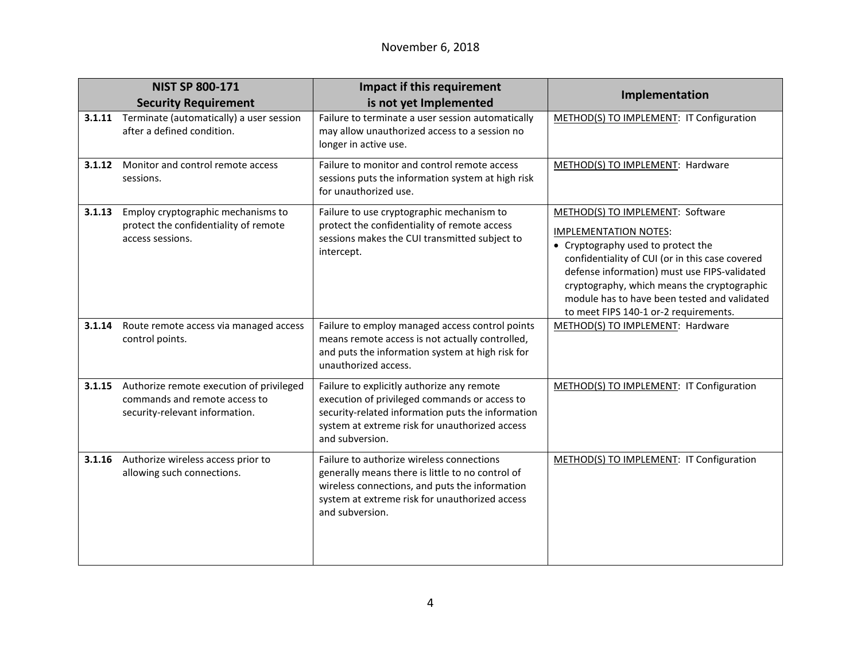|        | <b>NIST SP 800-171</b>                                                                                      | Impact if this requirement                                                                                                                                                                                            | Implementation                                                                                                                                                                                                                                                                                                                                    |
|--------|-------------------------------------------------------------------------------------------------------------|-----------------------------------------------------------------------------------------------------------------------------------------------------------------------------------------------------------------------|---------------------------------------------------------------------------------------------------------------------------------------------------------------------------------------------------------------------------------------------------------------------------------------------------------------------------------------------------|
|        | <b>Security Requirement</b>                                                                                 | is not yet Implemented                                                                                                                                                                                                |                                                                                                                                                                                                                                                                                                                                                   |
| 3.1.11 | Terminate (automatically) a user session<br>after a defined condition.                                      | Failure to terminate a user session automatically<br>may allow unauthorized access to a session no<br>longer in active use.                                                                                           | METHOD(S) TO IMPLEMENT: IT Configuration                                                                                                                                                                                                                                                                                                          |
| 3.1.12 | Monitor and control remote access<br>sessions.                                                              | Failure to monitor and control remote access<br>sessions puts the information system at high risk<br>for unauthorized use.                                                                                            | METHOD(S) TO IMPLEMENT: Hardware                                                                                                                                                                                                                                                                                                                  |
| 3.1.13 | Employ cryptographic mechanisms to<br>protect the confidentiality of remote<br>access sessions.             | Failure to use cryptographic mechanism to<br>protect the confidentiality of remote access<br>sessions makes the CUI transmitted subject to<br>intercept.                                                              | METHOD(S) TO IMPLEMENT: Software<br><b>IMPLEMENTATION NOTES:</b><br>• Cryptography used to protect the<br>confidentiality of CUI (or in this case covered<br>defense information) must use FIPS-validated<br>cryptography, which means the cryptographic<br>module has to have been tested and validated<br>to meet FIPS 140-1 or-2 requirements. |
| 3.1.14 | Route remote access via managed access<br>control points.                                                   | Failure to employ managed access control points<br>means remote access is not actually controlled,<br>and puts the information system at high risk for<br>unauthorized access.                                        | METHOD(S) TO IMPLEMENT: Hardware                                                                                                                                                                                                                                                                                                                  |
| 3.1.15 | Authorize remote execution of privileged<br>commands and remote access to<br>security-relevant information. | Failure to explicitly authorize any remote<br>execution of privileged commands or access to<br>security-related information puts the information<br>system at extreme risk for unauthorized access<br>and subversion. | METHOD(S) TO IMPLEMENT: IT Configuration                                                                                                                                                                                                                                                                                                          |
| 3.1.16 | Authorize wireless access prior to<br>allowing such connections.                                            | Failure to authorize wireless connections<br>generally means there is little to no control of<br>wireless connections, and puts the information<br>system at extreme risk for unauthorized access<br>and subversion.  | METHOD(S) TO IMPLEMENT: IT Configuration                                                                                                                                                                                                                                                                                                          |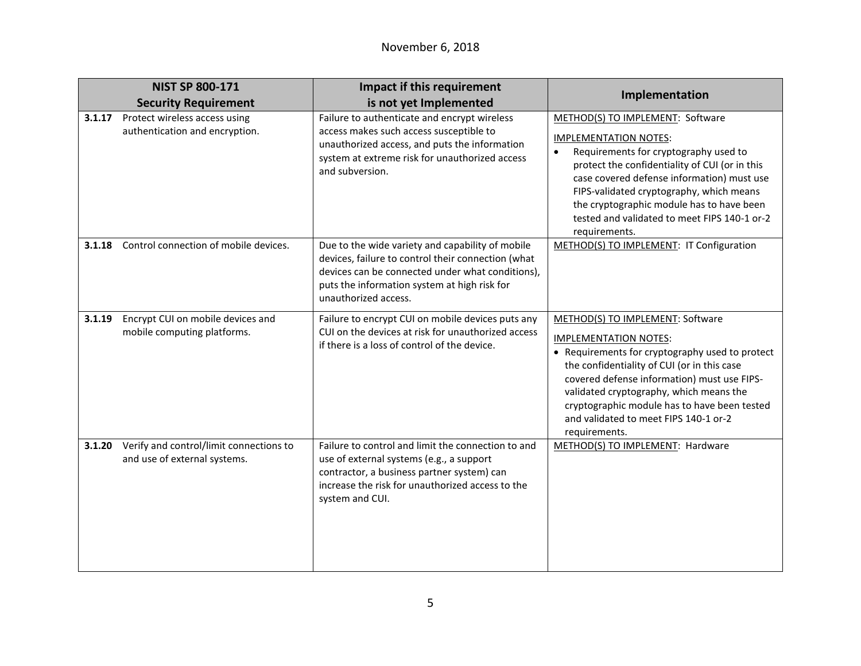|        | <b>NIST SP 800-171</b>                                                  | Impact if this requirement                                                                                                                                                                                                         |                                                                                                                                                                                                                                                                                                                                                                        |
|--------|-------------------------------------------------------------------------|------------------------------------------------------------------------------------------------------------------------------------------------------------------------------------------------------------------------------------|------------------------------------------------------------------------------------------------------------------------------------------------------------------------------------------------------------------------------------------------------------------------------------------------------------------------------------------------------------------------|
|        | <b>Security Requirement</b>                                             | is not yet Implemented                                                                                                                                                                                                             | Implementation                                                                                                                                                                                                                                                                                                                                                         |
| 3.1.17 | Protect wireless access using<br>authentication and encryption.         | Failure to authenticate and encrypt wireless<br>access makes such access susceptible to<br>unauthorized access, and puts the information<br>system at extreme risk for unauthorized access<br>and subversion.                      | METHOD(S) TO IMPLEMENT: Software<br><b>IMPLEMENTATION NOTES:</b><br>Requirements for cryptography used to<br>protect the confidentiality of CUI (or in this<br>case covered defense information) must use<br>FIPS-validated cryptography, which means<br>the cryptographic module has to have been<br>tested and validated to meet FIPS 140-1 or-2<br>requirements.    |
| 3.1.18 | Control connection of mobile devices.                                   | Due to the wide variety and capability of mobile<br>devices, failure to control their connection (what<br>devices can be connected under what conditions),<br>puts the information system at high risk for<br>unauthorized access. | METHOD(S) TO IMPLEMENT: IT Configuration                                                                                                                                                                                                                                                                                                                               |
| 3.1.19 | Encrypt CUI on mobile devices and<br>mobile computing platforms.        | Failure to encrypt CUI on mobile devices puts any<br>CUI on the devices at risk for unauthorized access<br>if there is a loss of control of the device.                                                                            | METHOD(S) TO IMPLEMENT: Software<br><b>IMPLEMENTATION NOTES:</b><br>• Requirements for cryptography used to protect<br>the confidentiality of CUI (or in this case<br>covered defense information) must use FIPS-<br>validated cryptography, which means the<br>cryptographic module has to have been tested<br>and validated to meet FIPS 140-1 or-2<br>requirements. |
| 3.1.20 | Verify and control/limit connections to<br>and use of external systems. | Failure to control and limit the connection to and<br>use of external systems (e.g., a support<br>contractor, a business partner system) can<br>increase the risk for unauthorized access to the<br>system and CUI.                | METHOD(S) TO IMPLEMENT: Hardware                                                                                                                                                                                                                                                                                                                                       |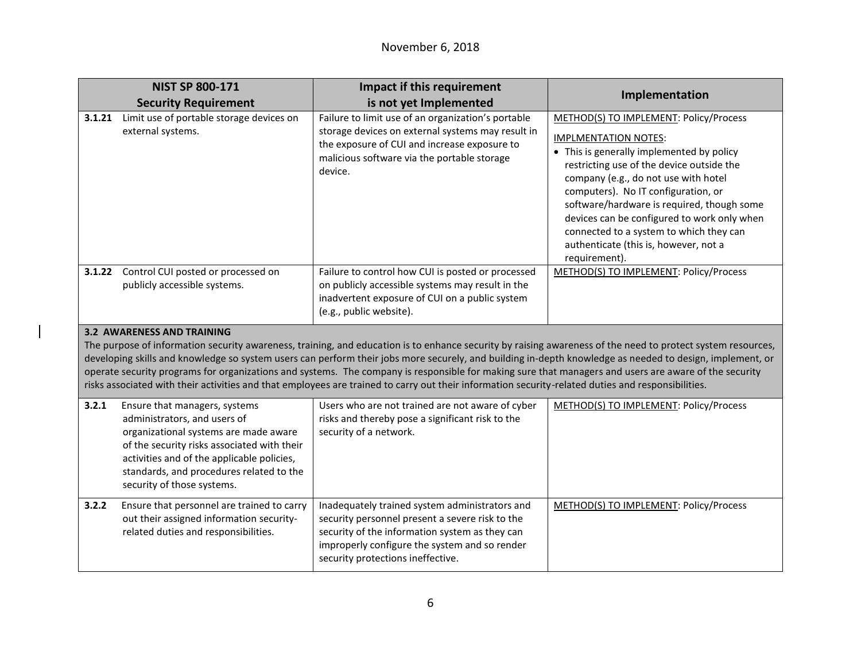|                                                                                                                                                                                                                                                                                                                                                                                                                                                                                                                                                                                                                                                                             | <b>NIST SP 800-171</b>                                                                                                                                                                                                                                                        | Impact if this requirement                                                                                                                                                                                                                | Implementation                                                                                                                                                                                                                                                                                                                                                                                                                                   |
|-----------------------------------------------------------------------------------------------------------------------------------------------------------------------------------------------------------------------------------------------------------------------------------------------------------------------------------------------------------------------------------------------------------------------------------------------------------------------------------------------------------------------------------------------------------------------------------------------------------------------------------------------------------------------------|-------------------------------------------------------------------------------------------------------------------------------------------------------------------------------------------------------------------------------------------------------------------------------|-------------------------------------------------------------------------------------------------------------------------------------------------------------------------------------------------------------------------------------------|--------------------------------------------------------------------------------------------------------------------------------------------------------------------------------------------------------------------------------------------------------------------------------------------------------------------------------------------------------------------------------------------------------------------------------------------------|
|                                                                                                                                                                                                                                                                                                                                                                                                                                                                                                                                                                                                                                                                             | <b>Security Requirement</b>                                                                                                                                                                                                                                                   | is not yet Implemented                                                                                                                                                                                                                    |                                                                                                                                                                                                                                                                                                                                                                                                                                                  |
| 3.1.21                                                                                                                                                                                                                                                                                                                                                                                                                                                                                                                                                                                                                                                                      | Limit use of portable storage devices on<br>external systems.                                                                                                                                                                                                                 | Failure to limit use of an organization's portable<br>storage devices on external systems may result in<br>the exposure of CUI and increase exposure to<br>malicious software via the portable storage<br>device.                         | METHOD(S) TO IMPLEMENT: Policy/Process<br><b>IMPLMENTATION NOTES:</b><br>• This is generally implemented by policy<br>restricting use of the device outside the<br>company (e.g., do not use with hotel<br>computers). No IT configuration, or<br>software/hardware is required, though some<br>devices can be configured to work only when<br>connected to a system to which they can<br>authenticate (this is, however, not a<br>requirement). |
| 3.1.22                                                                                                                                                                                                                                                                                                                                                                                                                                                                                                                                                                                                                                                                      | Control CUI posted or processed on<br>publicly accessible systems.                                                                                                                                                                                                            | Failure to control how CUI is posted or processed<br>on publicly accessible systems may result in the<br>inadvertent exposure of CUI on a public system<br>(e.g., public website).                                                        | METHOD(S) TO IMPLEMENT: Policy/Process                                                                                                                                                                                                                                                                                                                                                                                                           |
| <b>3.2 AWARENESS AND TRAINING</b><br>The purpose of information security awareness, training, and education is to enhance security by raising awareness of the need to protect system resources,<br>developing skills and knowledge so system users can perform their jobs more securely, and building in-depth knowledge as needed to design, implement, or<br>operate security programs for organizations and systems. The company is responsible for making sure that managers and users are aware of the security<br>risks associated with their activities and that employees are trained to carry out their information security-related duties and responsibilities. |                                                                                                                                                                                                                                                                               |                                                                                                                                                                                                                                           |                                                                                                                                                                                                                                                                                                                                                                                                                                                  |
| 3.2.1                                                                                                                                                                                                                                                                                                                                                                                                                                                                                                                                                                                                                                                                       | Ensure that managers, systems<br>administrators, and users of<br>organizational systems are made aware<br>of the security risks associated with their<br>activities and of the applicable policies,<br>standards, and procedures related to the<br>security of those systems. | Users who are not trained are not aware of cyber<br>risks and thereby pose a significant risk to the<br>security of a network.                                                                                                            | METHOD(S) TO IMPLEMENT: Policy/Process                                                                                                                                                                                                                                                                                                                                                                                                           |
| 3.2.2                                                                                                                                                                                                                                                                                                                                                                                                                                                                                                                                                                                                                                                                       | Ensure that personnel are trained to carry<br>out their assigned information security-<br>related duties and responsibilities.                                                                                                                                                | Inadequately trained system administrators and<br>security personnel present a severe risk to the<br>security of the information system as they can<br>improperly configure the system and so render<br>security protections ineffective. | METHOD(S) TO IMPLEMENT: Policy/Process                                                                                                                                                                                                                                                                                                                                                                                                           |

 $\overline{\phantom{a}}$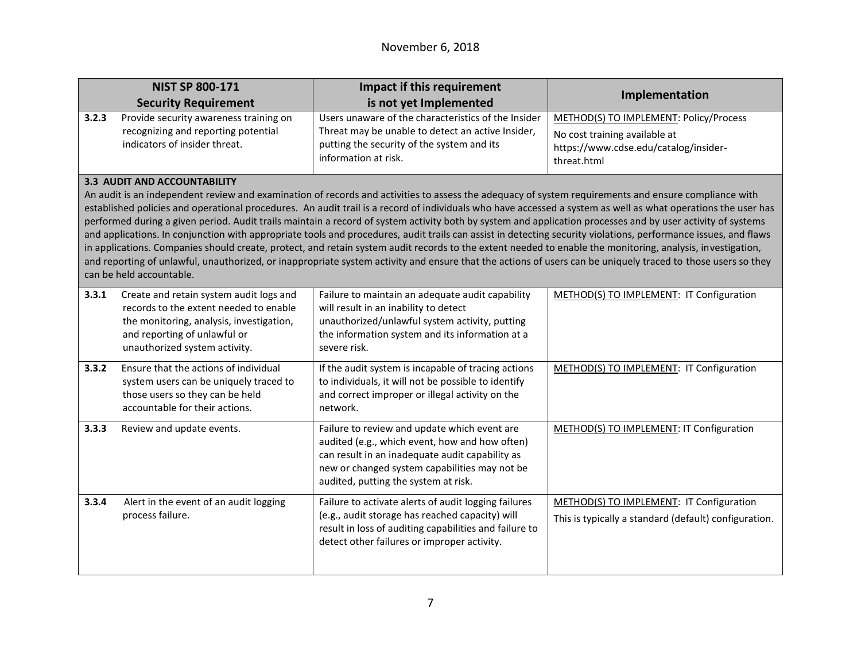|       | <b>NIST SP 800-171</b>                                                                                                                                                                         | Impact if this requirement                                                                                                                                                                                                                                                                                                                                                                                                                                                                                                                                                                                                                                                                                                                                                                                                                                                                                                                                                            | Implementation                                                                                                                  |
|-------|------------------------------------------------------------------------------------------------------------------------------------------------------------------------------------------------|---------------------------------------------------------------------------------------------------------------------------------------------------------------------------------------------------------------------------------------------------------------------------------------------------------------------------------------------------------------------------------------------------------------------------------------------------------------------------------------------------------------------------------------------------------------------------------------------------------------------------------------------------------------------------------------------------------------------------------------------------------------------------------------------------------------------------------------------------------------------------------------------------------------------------------------------------------------------------------------|---------------------------------------------------------------------------------------------------------------------------------|
|       | <b>Security Requirement</b>                                                                                                                                                                    | is not yet Implemented                                                                                                                                                                                                                                                                                                                                                                                                                                                                                                                                                                                                                                                                                                                                                                                                                                                                                                                                                                |                                                                                                                                 |
| 3.2.3 | Provide security awareness training on<br>recognizing and reporting potential<br>indicators of insider threat.                                                                                 | Users unaware of the characteristics of the Insider<br>Threat may be unable to detect an active Insider,<br>putting the security of the system and its<br>information at risk.                                                                                                                                                                                                                                                                                                                                                                                                                                                                                                                                                                                                                                                                                                                                                                                                        | METHOD(S) TO IMPLEMENT: Policy/Process<br>No cost training available at<br>https://www.cdse.edu/catalog/insider-<br>threat.html |
|       | <b>3.3 AUDIT AND ACCOUNTABILITY</b><br>can be held accountable.                                                                                                                                | An audit is an independent review and examination of records and activities to assess the adequacy of system requirements and ensure compliance with<br>established policies and operational procedures. An audit trail is a record of individuals who have accessed a system as well as what operations the user has<br>performed during a given period. Audit trails maintain a record of system activity both by system and application processes and by user activity of systems<br>and applications. In conjunction with appropriate tools and procedures, audit trails can assist in detecting security violations, performance issues, and flaws<br>in applications. Companies should create, protect, and retain system audit records to the extent needed to enable the monitoring, analysis, investigation,<br>and reporting of unlawful, unauthorized, or inappropriate system activity and ensure that the actions of users can be uniquely traced to those users so they |                                                                                                                                 |
| 3.3.1 | Create and retain system audit logs and<br>records to the extent needed to enable<br>the monitoring, analysis, investigation,<br>and reporting of unlawful or<br>unauthorized system activity. | Failure to maintain an adequate audit capability<br>will result in an inability to detect<br>unauthorized/unlawful system activity, putting<br>the information system and its information at a<br>severe risk.                                                                                                                                                                                                                                                                                                                                                                                                                                                                                                                                                                                                                                                                                                                                                                        | METHOD(S) TO IMPLEMENT: IT Configuration                                                                                        |
| 3.3.2 | Ensure that the actions of individual<br>system users can be uniquely traced to<br>those users so they can be held<br>accountable for their actions.                                           | If the audit system is incapable of tracing actions<br>to individuals, it will not be possible to identify<br>and correct improper or illegal activity on the<br>network.                                                                                                                                                                                                                                                                                                                                                                                                                                                                                                                                                                                                                                                                                                                                                                                                             | METHOD(S) TO IMPLEMENT: IT Configuration                                                                                        |
| 3.3.3 | Review and update events.                                                                                                                                                                      | Failure to review and update which event are<br>audited (e.g., which event, how and how often)<br>can result in an inadequate audit capability as<br>new or changed system capabilities may not be<br>audited, putting the system at risk.                                                                                                                                                                                                                                                                                                                                                                                                                                                                                                                                                                                                                                                                                                                                            | METHOD(S) TO IMPLEMENT: IT Configuration                                                                                        |
| 3.3.4 | Alert in the event of an audit logging<br>process failure.                                                                                                                                     | Failure to activate alerts of audit logging failures<br>(e.g., audit storage has reached capacity) will<br>result in loss of auditing capabilities and failure to<br>detect other failures or improper activity.                                                                                                                                                                                                                                                                                                                                                                                                                                                                                                                                                                                                                                                                                                                                                                      | METHOD(S) TO IMPLEMENT: IT Configuration<br>This is typically a standard (default) configuration.                               |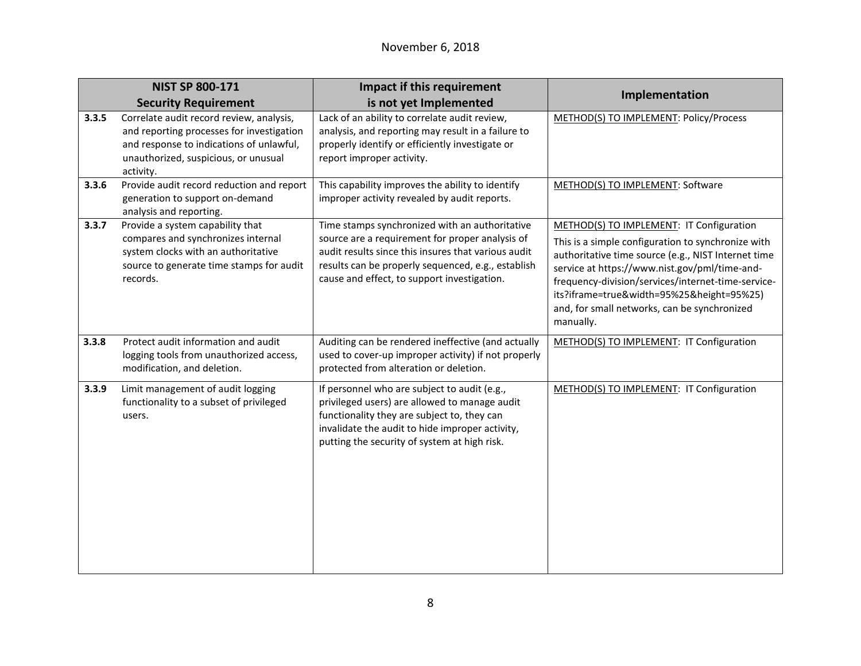|       | <b>NIST SP 800-171</b>                                                                                                                                                                 | Impact if this requirement                                                                                                                                                                                                                                    |                                                                                                                                                                                                                                                                                                                                                                        |
|-------|----------------------------------------------------------------------------------------------------------------------------------------------------------------------------------------|---------------------------------------------------------------------------------------------------------------------------------------------------------------------------------------------------------------------------------------------------------------|------------------------------------------------------------------------------------------------------------------------------------------------------------------------------------------------------------------------------------------------------------------------------------------------------------------------------------------------------------------------|
|       | <b>Security Requirement</b>                                                                                                                                                            | is not yet Implemented                                                                                                                                                                                                                                        | Implementation                                                                                                                                                                                                                                                                                                                                                         |
| 3.3.5 | Correlate audit record review, analysis,<br>and reporting processes for investigation<br>and response to indications of unlawful,<br>unauthorized, suspicious, or unusual<br>activity. | Lack of an ability to correlate audit review,<br>analysis, and reporting may result in a failure to<br>properly identify or efficiently investigate or<br>report improper activity.                                                                           | METHOD(S) TO IMPLEMENT: Policy/Process                                                                                                                                                                                                                                                                                                                                 |
| 3.3.6 | Provide audit record reduction and report<br>generation to support on-demand<br>analysis and reporting.                                                                                | This capability improves the ability to identify<br>improper activity revealed by audit reports.                                                                                                                                                              | METHOD(S) TO IMPLEMENT: Software                                                                                                                                                                                                                                                                                                                                       |
| 3.3.7 | Provide a system capability that<br>compares and synchronizes internal<br>system clocks with an authoritative<br>source to generate time stamps for audit<br>records.                  | Time stamps synchronized with an authoritative<br>source are a requirement for proper analysis of<br>audit results since this insures that various audit<br>results can be properly sequenced, e.g., establish<br>cause and effect, to support investigation. | METHOD(S) TO IMPLEMENT: IT Configuration<br>This is a simple configuration to synchronize with<br>authoritative time source (e.g., NIST Internet time<br>service at https://www.nist.gov/pml/time-and-<br>frequency-division/services/internet-time-service-<br>its?iframe=true&width=95%25&height=95%25)<br>and, for small networks, can be synchronized<br>manually. |
| 3.3.8 | Protect audit information and audit<br>logging tools from unauthorized access,<br>modification, and deletion.                                                                          | Auditing can be rendered ineffective (and actually<br>used to cover-up improper activity) if not properly<br>protected from alteration or deletion.                                                                                                           | METHOD(S) TO IMPLEMENT: IT Configuration                                                                                                                                                                                                                                                                                                                               |
| 3.3.9 | Limit management of audit logging<br>functionality to a subset of privileged<br>users.                                                                                                 | If personnel who are subject to audit (e.g.,<br>privileged users) are allowed to manage audit<br>functionality they are subject to, they can<br>invalidate the audit to hide improper activity,<br>putting the security of system at high risk.               | METHOD(S) TO IMPLEMENT: IT Configuration                                                                                                                                                                                                                                                                                                                               |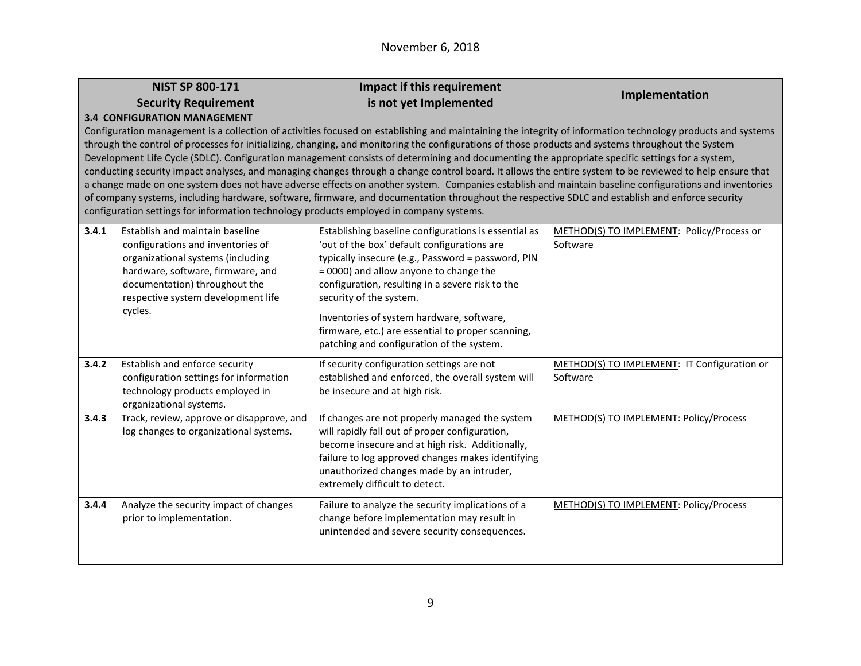## November 6, 2018

|                                                                                                                                                                                                                                                                                                                                                                                                                                                                                                                                                                                                                                                                                                                                                                                                                                                                                                                                                                                                                                                                                | <b>NIST SP 800-171</b>                                                                                                                                                                                                           | Impact if this requirement                                                                                                                                                                                                                                                                                                                                                                                                        | Implementation                                          |
|--------------------------------------------------------------------------------------------------------------------------------------------------------------------------------------------------------------------------------------------------------------------------------------------------------------------------------------------------------------------------------------------------------------------------------------------------------------------------------------------------------------------------------------------------------------------------------------------------------------------------------------------------------------------------------------------------------------------------------------------------------------------------------------------------------------------------------------------------------------------------------------------------------------------------------------------------------------------------------------------------------------------------------------------------------------------------------|----------------------------------------------------------------------------------------------------------------------------------------------------------------------------------------------------------------------------------|-----------------------------------------------------------------------------------------------------------------------------------------------------------------------------------------------------------------------------------------------------------------------------------------------------------------------------------------------------------------------------------------------------------------------------------|---------------------------------------------------------|
|                                                                                                                                                                                                                                                                                                                                                                                                                                                                                                                                                                                                                                                                                                                                                                                                                                                                                                                                                                                                                                                                                | <b>Security Requirement</b>                                                                                                                                                                                                      | is not yet Implemented                                                                                                                                                                                                                                                                                                                                                                                                            |                                                         |
| <b>3.4 CONFIGURATION MANAGEMENT</b><br>Configuration management is a collection of activities focused on establishing and maintaining the integrity of information technology products and systems<br>through the control of processes for initializing, changing, and monitoring the configurations of those products and systems throughout the System<br>Development Life Cycle (SDLC). Configuration management consists of determining and documenting the appropriate specific settings for a system,<br>conducting security impact analyses, and managing changes through a change control board. It allows the entire system to be reviewed to help ensure that<br>a change made on one system does not have adverse effects on another system. Companies establish and maintain baseline configurations and inventories<br>of company systems, including hardware, software, firmware, and documentation throughout the respective SDLC and establish and enforce security<br>configuration settings for information technology products employed in company systems. |                                                                                                                                                                                                                                  |                                                                                                                                                                                                                                                                                                                                                                                                                                   |                                                         |
| 3.4.1                                                                                                                                                                                                                                                                                                                                                                                                                                                                                                                                                                                                                                                                                                                                                                                                                                                                                                                                                                                                                                                                          | Establish and maintain baseline<br>configurations and inventories of<br>organizational systems (including<br>hardware, software, firmware, and<br>documentation) throughout the<br>respective system development life<br>cycles. | Establishing baseline configurations is essential as<br>'out of the box' default configurations are<br>typically insecure (e.g., Password = password, PIN<br>= 0000) and allow anyone to change the<br>configuration, resulting in a severe risk to the<br>security of the system.<br>Inventories of system hardware, software,<br>firmware, etc.) are essential to proper scanning,<br>patching and configuration of the system. | METHOD(S) TO IMPLEMENT: Policy/Process or<br>Software   |
| 3.4.2                                                                                                                                                                                                                                                                                                                                                                                                                                                                                                                                                                                                                                                                                                                                                                                                                                                                                                                                                                                                                                                                          | Establish and enforce security<br>configuration settings for information<br>technology products employed in<br>organizational systems.                                                                                           | If security configuration settings are not<br>established and enforced, the overall system will<br>be insecure and at high risk.                                                                                                                                                                                                                                                                                                  | METHOD(S) TO IMPLEMENT: IT Configuration or<br>Software |
| 3.4.3                                                                                                                                                                                                                                                                                                                                                                                                                                                                                                                                                                                                                                                                                                                                                                                                                                                                                                                                                                                                                                                                          | Track, review, approve or disapprove, and<br>log changes to organizational systems.                                                                                                                                              | If changes are not properly managed the system<br>will rapidly fall out of proper configuration,<br>become insecure and at high risk. Additionally,<br>failure to log approved changes makes identifying<br>unauthorized changes made by an intruder,<br>extremely difficult to detect.                                                                                                                                           | METHOD(S) TO IMPLEMENT: Policy/Process                  |
| 3.4.4                                                                                                                                                                                                                                                                                                                                                                                                                                                                                                                                                                                                                                                                                                                                                                                                                                                                                                                                                                                                                                                                          | Analyze the security impact of changes<br>prior to implementation.                                                                                                                                                               | Failure to analyze the security implications of a<br>change before implementation may result in<br>unintended and severe security consequences.                                                                                                                                                                                                                                                                                   | METHOD(S) TO IMPLEMENT: Policy/Process                  |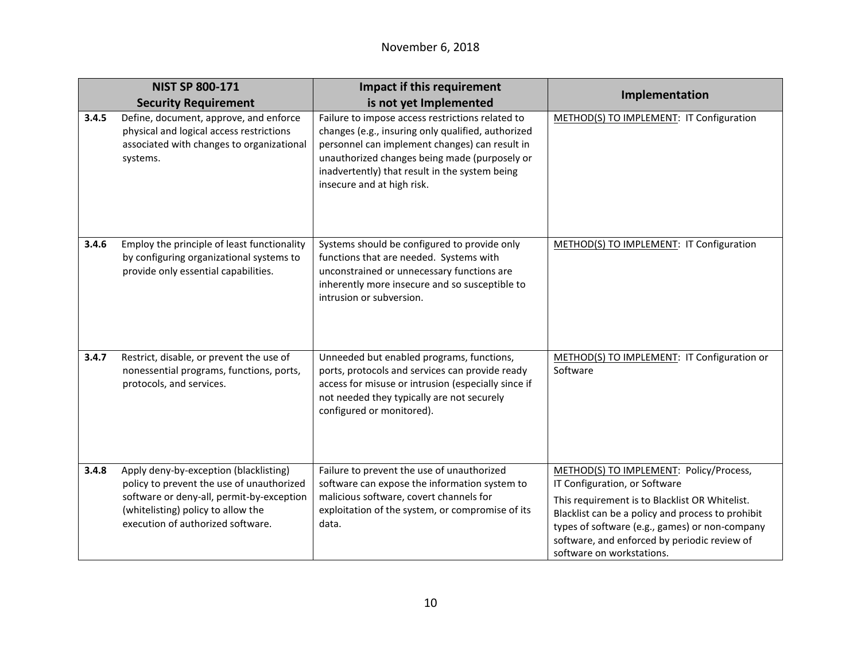|       | <b>NIST SP 800-171</b>                                                                                                                                                                                      | Impact if this requirement                                                                                                                                                                                                                                                                | Implementation                                                                                                                                                                                                                                                                                                 |
|-------|-------------------------------------------------------------------------------------------------------------------------------------------------------------------------------------------------------------|-------------------------------------------------------------------------------------------------------------------------------------------------------------------------------------------------------------------------------------------------------------------------------------------|----------------------------------------------------------------------------------------------------------------------------------------------------------------------------------------------------------------------------------------------------------------------------------------------------------------|
|       | <b>Security Requirement</b>                                                                                                                                                                                 | is not yet Implemented                                                                                                                                                                                                                                                                    |                                                                                                                                                                                                                                                                                                                |
| 3.4.5 | Define, document, approve, and enforce<br>physical and logical access restrictions<br>associated with changes to organizational<br>systems.                                                                 | Failure to impose access restrictions related to<br>changes (e.g., insuring only qualified, authorized<br>personnel can implement changes) can result in<br>unauthorized changes being made (purposely or<br>inadvertently) that result in the system being<br>insecure and at high risk. | METHOD(S) TO IMPLEMENT: IT Configuration                                                                                                                                                                                                                                                                       |
| 3.4.6 | Employ the principle of least functionality<br>by configuring organizational systems to<br>provide only essential capabilities.                                                                             | Systems should be configured to provide only<br>functions that are needed. Systems with<br>unconstrained or unnecessary functions are<br>inherently more insecure and so susceptible to<br>intrusion or subversion.                                                                       | METHOD(S) TO IMPLEMENT: IT Configuration                                                                                                                                                                                                                                                                       |
| 3.4.7 | Restrict, disable, or prevent the use of<br>nonessential programs, functions, ports,<br>protocols, and services.                                                                                            | Unneeded but enabled programs, functions,<br>ports, protocols and services can provide ready<br>access for misuse or intrusion (especially since if<br>not needed they typically are not securely<br>configured or monitored).                                                            | METHOD(S) TO IMPLEMENT: IT Configuration or<br>Software                                                                                                                                                                                                                                                        |
| 3.4.8 | Apply deny-by-exception (blacklisting)<br>policy to prevent the use of unauthorized<br>software or deny-all, permit-by-exception<br>(whitelisting) policy to allow the<br>execution of authorized software. | Failure to prevent the use of unauthorized<br>software can expose the information system to<br>malicious software, covert channels for<br>exploitation of the system, or compromise of its<br>data.                                                                                       | METHOD(S) TO IMPLEMENT: Policy/Process,<br>IT Configuration, or Software<br>This requirement is to Blacklist OR Whitelist.<br>Blacklist can be a policy and process to prohibit<br>types of software (e.g., games) or non-company<br>software, and enforced by periodic review of<br>software on workstations. |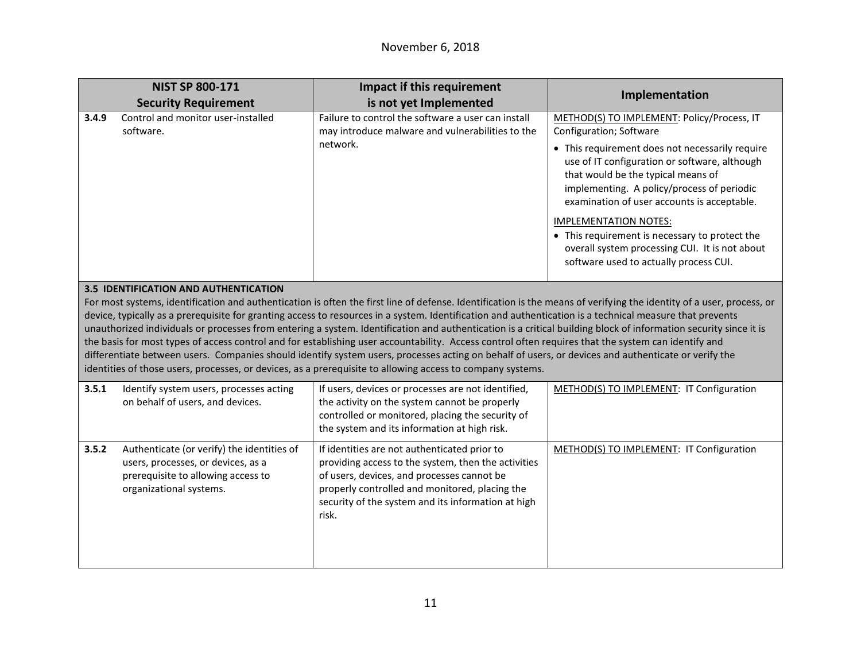|       | <b>NIST SP 800-171</b>                                                                                                                            | Impact if this requirement                                                                                                                                                                                                                                                                                                                                                                                                                                                                                                                                                                                                                                                                                                                                                                                                                                                                                                       | Implementation                                                                                                                                                                                                                                                                                                                                                                                                                                                                             |
|-------|---------------------------------------------------------------------------------------------------------------------------------------------------|----------------------------------------------------------------------------------------------------------------------------------------------------------------------------------------------------------------------------------------------------------------------------------------------------------------------------------------------------------------------------------------------------------------------------------------------------------------------------------------------------------------------------------------------------------------------------------------------------------------------------------------------------------------------------------------------------------------------------------------------------------------------------------------------------------------------------------------------------------------------------------------------------------------------------------|--------------------------------------------------------------------------------------------------------------------------------------------------------------------------------------------------------------------------------------------------------------------------------------------------------------------------------------------------------------------------------------------------------------------------------------------------------------------------------------------|
|       | <b>Security Requirement</b>                                                                                                                       | is not yet Implemented                                                                                                                                                                                                                                                                                                                                                                                                                                                                                                                                                                                                                                                                                                                                                                                                                                                                                                           |                                                                                                                                                                                                                                                                                                                                                                                                                                                                                            |
| 3.4.9 | Control and monitor user-installed<br>software.                                                                                                   | Failure to control the software a user can install<br>may introduce malware and vulnerabilities to the<br>network.                                                                                                                                                                                                                                                                                                                                                                                                                                                                                                                                                                                                                                                                                                                                                                                                               | METHOD(S) TO IMPLEMENT: Policy/Process, IT<br>Configuration; Software<br>• This requirement does not necessarily require<br>use of IT configuration or software, although<br>that would be the typical means of<br>implementing. A policy/process of periodic<br>examination of user accounts is acceptable.<br><b>IMPLEMENTATION NOTES:</b><br>• This requirement is necessary to protect the<br>overall system processing CUI. It is not about<br>software used to actually process CUI. |
|       | 3.5 IDENTIFICATION AND AUTHENTICATION                                                                                                             | For most systems, identification and authentication is often the first line of defense. Identification is the means of verifying the identity of a user, process, or<br>device, typically as a prerequisite for granting access to resources in a system. Identification and authentication is a technical measure that prevents<br>unauthorized individuals or processes from entering a system. Identification and authentication is a critical building block of information security since it is<br>the basis for most types of access control and for establishing user accountability. Access control often requires that the system can identify and<br>differentiate between users. Companies should identify system users, processes acting on behalf of users, or devices and authenticate or verify the<br>identities of those users, processes, or devices, as a prerequisite to allowing access to company systems. |                                                                                                                                                                                                                                                                                                                                                                                                                                                                                            |
| 3.5.1 | Identify system users, processes acting<br>on behalf of users, and devices.                                                                       | If users, devices or processes are not identified,<br>the activity on the system cannot be properly<br>controlled or monitored, placing the security of<br>the system and its information at high risk.                                                                                                                                                                                                                                                                                                                                                                                                                                                                                                                                                                                                                                                                                                                          | METHOD(S) TO IMPLEMENT: IT Configuration                                                                                                                                                                                                                                                                                                                                                                                                                                                   |
| 3.5.2 | Authenticate (or verify) the identities of<br>users, processes, or devices, as a<br>prerequisite to allowing access to<br>organizational systems. | If identities are not authenticated prior to<br>providing access to the system, then the activities<br>of users, devices, and processes cannot be<br>properly controlled and monitored, placing the<br>security of the system and its information at high<br>risk.                                                                                                                                                                                                                                                                                                                                                                                                                                                                                                                                                                                                                                                               | METHOD(S) TO IMPLEMENT: IT Configuration                                                                                                                                                                                                                                                                                                                                                                                                                                                   |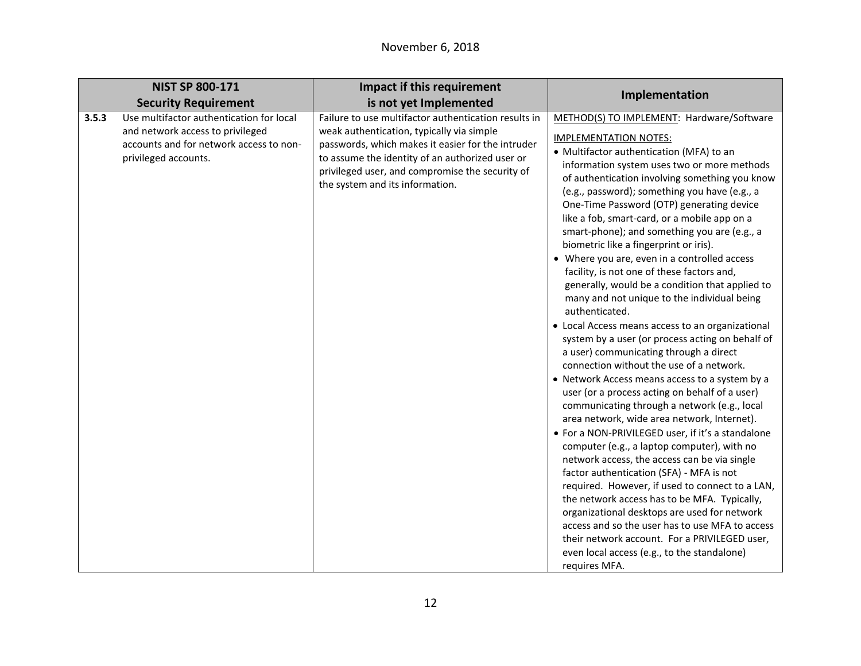| Implementation<br>is not yet Implemented<br><b>Security Requirement</b><br>Failure to use multifactor authentication results in<br>3.5.3<br>Use multifactor authentication for local<br>METHOD(S) TO IMPLEMENT: Hardware/Software<br>and network access to privileged<br>weak authentication, typically via simple<br><b>IMPLEMENTATION NOTES:</b><br>accounts and for network access to non-<br>passwords, which makes it easier for the intruder<br>• Multifactor authentication (MFA) to an<br>privileged accounts.<br>to assume the identity of an authorized user or<br>information system uses two or more methods<br>privileged user, and compromise the security of<br>of authentication involving something you know<br>the system and its information.<br>(e.g., password); something you have (e.g., a<br>One-Time Password (OTP) generating device<br>like a fob, smart-card, or a mobile app on a<br>smart-phone); and something you are (e.g., a<br>biometric like a fingerprint or iris).<br>• Where you are, even in a controlled access<br>facility, is not one of these factors and,<br>generally, would be a condition that applied to<br>many and not unique to the individual being<br>authenticated.<br>• Local Access means access to an organizational<br>system by a user (or process acting on behalf of<br>a user) communicating through a direct<br>connection without the use of a network.<br>• Network Access means access to a system by a<br>user (or a process acting on behalf of a user)<br>communicating through a network (e.g., local<br>area network, wide area network, Internet). |
|-----------------------------------------------------------------------------------------------------------------------------------------------------------------------------------------------------------------------------------------------------------------------------------------------------------------------------------------------------------------------------------------------------------------------------------------------------------------------------------------------------------------------------------------------------------------------------------------------------------------------------------------------------------------------------------------------------------------------------------------------------------------------------------------------------------------------------------------------------------------------------------------------------------------------------------------------------------------------------------------------------------------------------------------------------------------------------------------------------------------------------------------------------------------------------------------------------------------------------------------------------------------------------------------------------------------------------------------------------------------------------------------------------------------------------------------------------------------------------------------------------------------------------------------------------------------------------------------------------------------------------|
|                                                                                                                                                                                                                                                                                                                                                                                                                                                                                                                                                                                                                                                                                                                                                                                                                                                                                                                                                                                                                                                                                                                                                                                                                                                                                                                                                                                                                                                                                                                                                                                                                             |
| • For a NON-PRIVILEGED user, if it's a standalone<br>computer (e.g., a laptop computer), with no<br>network access, the access can be via single<br>factor authentication (SFA) - MFA is not<br>required. However, if used to connect to a LAN,<br>the network access has to be MFA. Typically,<br>organizational desktops are used for network<br>access and so the user has to use MFA to access                                                                                                                                                                                                                                                                                                                                                                                                                                                                                                                                                                                                                                                                                                                                                                                                                                                                                                                                                                                                                                                                                                                                                                                                                          |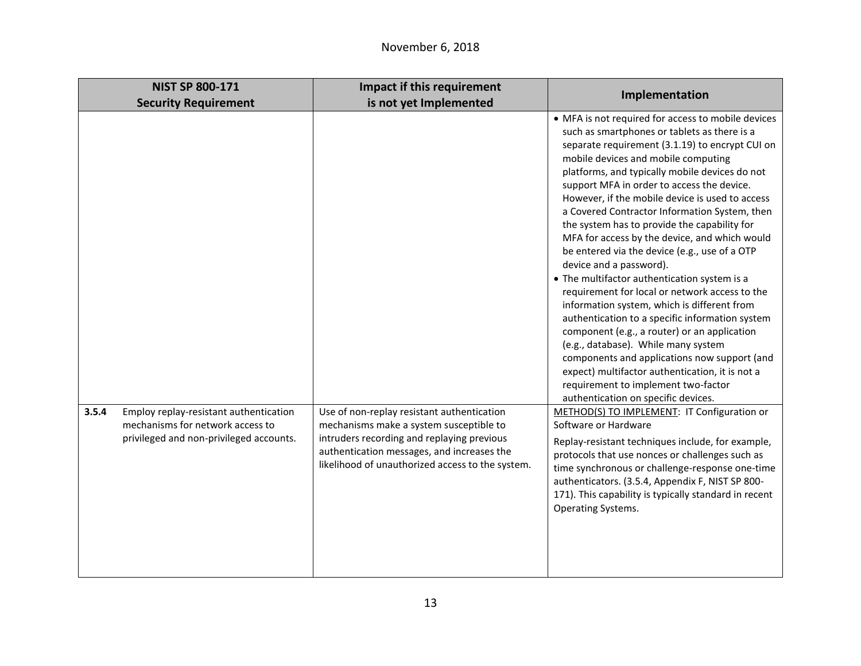| <b>NIST SP 800-171</b>                                                                                                         | Impact if this requirement                                                                                                                                                                                                            |                                                                                                                                                                                                                                                                                                                                                                                                                                                                                                                                                                                                                                                                                                                                                                                                                                                                                                                                                                                                                                                           |
|--------------------------------------------------------------------------------------------------------------------------------|---------------------------------------------------------------------------------------------------------------------------------------------------------------------------------------------------------------------------------------|-----------------------------------------------------------------------------------------------------------------------------------------------------------------------------------------------------------------------------------------------------------------------------------------------------------------------------------------------------------------------------------------------------------------------------------------------------------------------------------------------------------------------------------------------------------------------------------------------------------------------------------------------------------------------------------------------------------------------------------------------------------------------------------------------------------------------------------------------------------------------------------------------------------------------------------------------------------------------------------------------------------------------------------------------------------|
| <b>Security Requirement</b>                                                                                                    | is not yet Implemented                                                                                                                                                                                                                | Implementation                                                                                                                                                                                                                                                                                                                                                                                                                                                                                                                                                                                                                                                                                                                                                                                                                                                                                                                                                                                                                                            |
|                                                                                                                                |                                                                                                                                                                                                                                       | • MFA is not required for access to mobile devices<br>such as smartphones or tablets as there is a<br>separate requirement (3.1.19) to encrypt CUI on<br>mobile devices and mobile computing<br>platforms, and typically mobile devices do not<br>support MFA in order to access the device.<br>However, if the mobile device is used to access<br>a Covered Contractor Information System, then<br>the system has to provide the capability for<br>MFA for access by the device, and which would<br>be entered via the device (e.g., use of a OTP<br>device and a password).<br>• The multifactor authentication system is a<br>requirement for local or network access to the<br>information system, which is different from<br>authentication to a specific information system<br>component (e.g., a router) or an application<br>(e.g., database). While many system<br>components and applications now support (and<br>expect) multifactor authentication, it is not a<br>requirement to implement two-factor<br>authentication on specific devices. |
| 3.5.4<br>Employ replay-resistant authentication<br>mechanisms for network access to<br>privileged and non-privileged accounts. | Use of non-replay resistant authentication<br>mechanisms make a system susceptible to<br>intruders recording and replaying previous<br>authentication messages, and increases the<br>likelihood of unauthorized access to the system. | METHOD(S) TO IMPLEMENT: IT Configuration or<br>Software or Hardware<br>Replay-resistant techniques include, for example,<br>protocols that use nonces or challenges such as<br>time synchronous or challenge-response one-time<br>authenticators. (3.5.4, Appendix F, NIST SP 800-<br>171). This capability is typically standard in recent<br>Operating Systems.                                                                                                                                                                                                                                                                                                                                                                                                                                                                                                                                                                                                                                                                                         |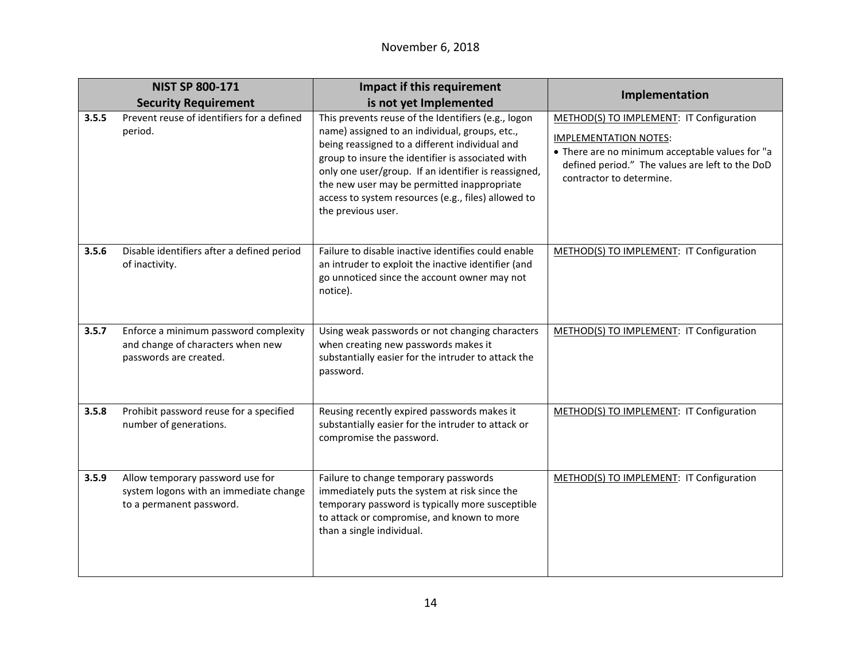|       | <b>NIST SP 800-171</b>                                                                                 | Impact if this requirement                                                                                                                                                                                                                                                                                                                                                                       | Implementation                                                                                                                                                                                             |
|-------|--------------------------------------------------------------------------------------------------------|--------------------------------------------------------------------------------------------------------------------------------------------------------------------------------------------------------------------------------------------------------------------------------------------------------------------------------------------------------------------------------------------------|------------------------------------------------------------------------------------------------------------------------------------------------------------------------------------------------------------|
|       | <b>Security Requirement</b>                                                                            | is not yet Implemented                                                                                                                                                                                                                                                                                                                                                                           |                                                                                                                                                                                                            |
| 3.5.5 | Prevent reuse of identifiers for a defined<br>period.                                                  | This prevents reuse of the Identifiers (e.g., logon<br>name) assigned to an individual, groups, etc.,<br>being reassigned to a different individual and<br>group to insure the identifier is associated with<br>only one user/group. If an identifier is reassigned,<br>the new user may be permitted inappropriate<br>access to system resources (e.g., files) allowed to<br>the previous user. | METHOD(S) TO IMPLEMENT: IT Configuration<br><b>IMPLEMENTATION NOTES:</b><br>• There are no minimum acceptable values for "a<br>defined period." The values are left to the DoD<br>contractor to determine. |
| 3.5.6 | Disable identifiers after a defined period<br>of inactivity.                                           | Failure to disable inactive identifies could enable<br>an intruder to exploit the inactive identifier (and<br>go unnoticed since the account owner may not<br>notice).                                                                                                                                                                                                                           | METHOD(S) TO IMPLEMENT: IT Configuration                                                                                                                                                                   |
| 3.5.7 | Enforce a minimum password complexity<br>and change of characters when new<br>passwords are created.   | Using weak passwords or not changing characters<br>when creating new passwords makes it<br>substantially easier for the intruder to attack the<br>password.                                                                                                                                                                                                                                      | METHOD(S) TO IMPLEMENT: IT Configuration                                                                                                                                                                   |
| 3.5.8 | Prohibit password reuse for a specified<br>number of generations.                                      | Reusing recently expired passwords makes it<br>substantially easier for the intruder to attack or<br>compromise the password.                                                                                                                                                                                                                                                                    | METHOD(S) TO IMPLEMENT: IT Configuration                                                                                                                                                                   |
| 3.5.9 | Allow temporary password use for<br>system logons with an immediate change<br>to a permanent password. | Failure to change temporary passwords<br>immediately puts the system at risk since the<br>temporary password is typically more susceptible<br>to attack or compromise, and known to more<br>than a single individual.                                                                                                                                                                            | METHOD(S) TO IMPLEMENT: IT Configuration                                                                                                                                                                   |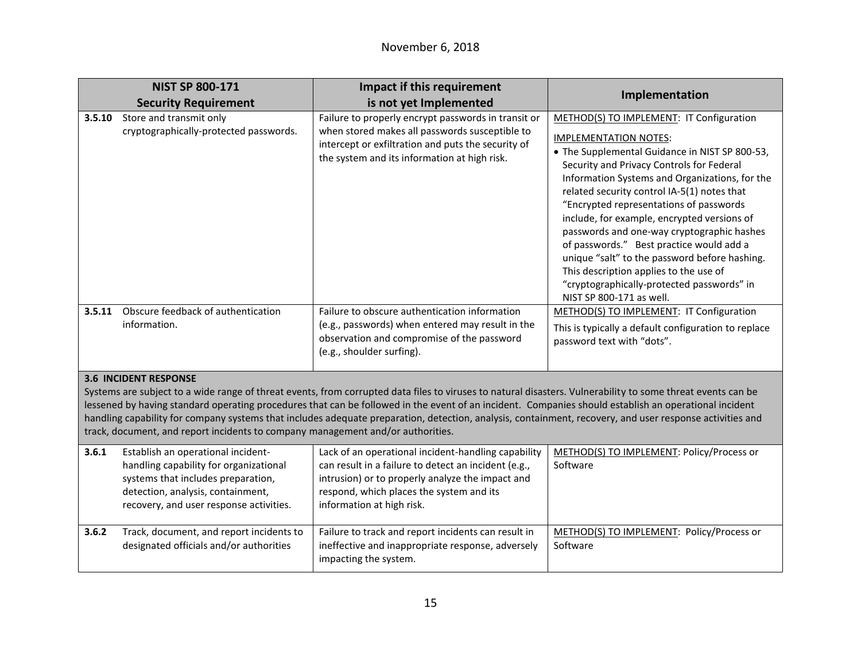|                                                                                                                                                                                                                                                                                                                                                                                                                                                                                                                                                                                                     | <b>NIST SP 800-171</b>                                                                                                                                                                             | Impact if this requirement                                                                                                                                                                                                               | Implementation                                                                                                                                                                                                                                                                                                                                                                                                                                                                                                                                                                                                                    |
|-----------------------------------------------------------------------------------------------------------------------------------------------------------------------------------------------------------------------------------------------------------------------------------------------------------------------------------------------------------------------------------------------------------------------------------------------------------------------------------------------------------------------------------------------------------------------------------------------------|----------------------------------------------------------------------------------------------------------------------------------------------------------------------------------------------------|------------------------------------------------------------------------------------------------------------------------------------------------------------------------------------------------------------------------------------------|-----------------------------------------------------------------------------------------------------------------------------------------------------------------------------------------------------------------------------------------------------------------------------------------------------------------------------------------------------------------------------------------------------------------------------------------------------------------------------------------------------------------------------------------------------------------------------------------------------------------------------------|
|                                                                                                                                                                                                                                                                                                                                                                                                                                                                                                                                                                                                     | <b>Security Requirement</b>                                                                                                                                                                        | is not yet Implemented                                                                                                                                                                                                                   |                                                                                                                                                                                                                                                                                                                                                                                                                                                                                                                                                                                                                                   |
| 3.5.10                                                                                                                                                                                                                                                                                                                                                                                                                                                                                                                                                                                              | Store and transmit only<br>cryptographically-protected passwords.                                                                                                                                  | Failure to properly encrypt passwords in transit or<br>when stored makes all passwords susceptible to<br>intercept or exfiltration and puts the security of<br>the system and its information at high risk.                              | METHOD(S) TO IMPLEMENT: IT Configuration<br><b>IMPLEMENTATION NOTES:</b><br>• The Supplemental Guidance in NIST SP 800-53,<br>Security and Privacy Controls for Federal<br>Information Systems and Organizations, for the<br>related security control IA-5(1) notes that<br>"Encrypted representations of passwords<br>include, for example, encrypted versions of<br>passwords and one-way cryptographic hashes<br>of passwords." Best practice would add a<br>unique "salt" to the password before hashing.<br>This description applies to the use of<br>"cryptographically-protected passwords" in<br>NIST SP 800-171 as well. |
| 3.5.11                                                                                                                                                                                                                                                                                                                                                                                                                                                                                                                                                                                              | Obscure feedback of authentication<br>information.                                                                                                                                                 | Failure to obscure authentication information<br>(e.g., passwords) when entered may result in the<br>observation and compromise of the password<br>(e.g., shoulder surfing).                                                             | METHOD(S) TO IMPLEMENT: IT Configuration<br>This is typically a default configuration to replace<br>password text with "dots".                                                                                                                                                                                                                                                                                                                                                                                                                                                                                                    |
| <b>3.6 INCIDENT RESPONSE</b><br>Systems are subject to a wide range of threat events, from corrupted data files to viruses to natural disasters. Vulnerability to some threat events can be<br>lessened by having standard operating procedures that can be followed in the event of an incident. Companies should establish an operational incident<br>handling capability for company systems that includes adequate preparation, detection, analysis, containment, recovery, and user response activities and<br>track, document, and report incidents to company management and/or authorities. |                                                                                                                                                                                                    |                                                                                                                                                                                                                                          |                                                                                                                                                                                                                                                                                                                                                                                                                                                                                                                                                                                                                                   |
| 3.6.1                                                                                                                                                                                                                                                                                                                                                                                                                                                                                                                                                                                               | Establish an operational incident-<br>handling capability for organizational<br>systems that includes preparation,<br>detection, analysis, containment,<br>recovery, and user response activities. | Lack of an operational incident-handling capability<br>can result in a failure to detect an incident (e.g.,<br>intrusion) or to properly analyze the impact and<br>respond, which places the system and its<br>information at high risk. | METHOD(S) TO IMPLEMENT: Policy/Process or<br>Software                                                                                                                                                                                                                                                                                                                                                                                                                                                                                                                                                                             |
| 3.6.2                                                                                                                                                                                                                                                                                                                                                                                                                                                                                                                                                                                               | Track, document, and report incidents to<br>designated officials and/or authorities                                                                                                                | Failure to track and report incidents can result in<br>ineffective and inappropriate response, adversely<br>impacting the system.                                                                                                        | METHOD(S) TO IMPLEMENT: Policy/Process or<br>Software                                                                                                                                                                                                                                                                                                                                                                                                                                                                                                                                                                             |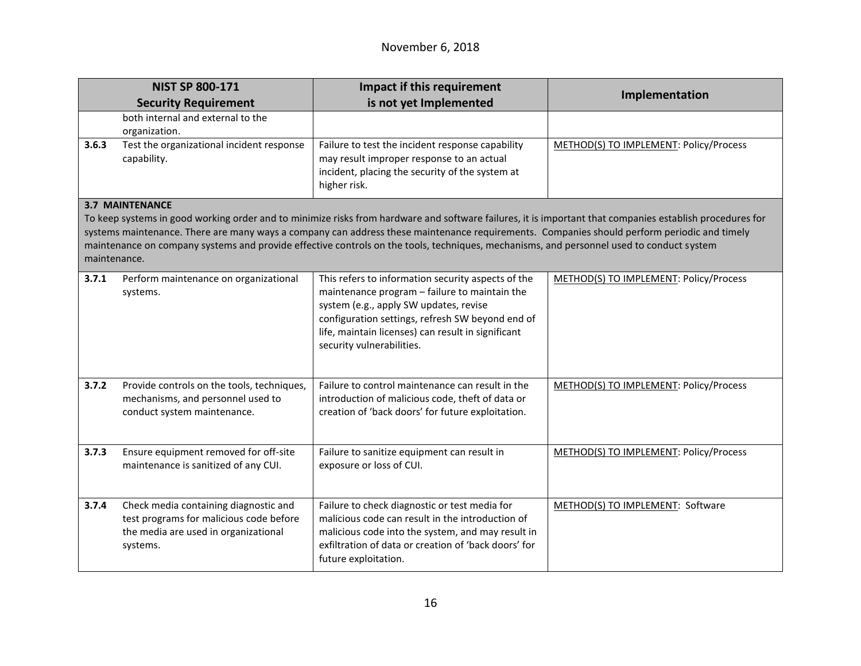|                                                                                                                                                                                                                                                                                                                                                                                                                                                                                               | <b>NIST SP 800-171</b>                                                                                                               | <b>Impact if this requirement</b>                                                                                                                                                                                                                                                    | Implementation                         |
|-----------------------------------------------------------------------------------------------------------------------------------------------------------------------------------------------------------------------------------------------------------------------------------------------------------------------------------------------------------------------------------------------------------------------------------------------------------------------------------------------|--------------------------------------------------------------------------------------------------------------------------------------|--------------------------------------------------------------------------------------------------------------------------------------------------------------------------------------------------------------------------------------------------------------------------------------|----------------------------------------|
|                                                                                                                                                                                                                                                                                                                                                                                                                                                                                               | <b>Security Requirement</b>                                                                                                          | is not yet Implemented                                                                                                                                                                                                                                                               |                                        |
|                                                                                                                                                                                                                                                                                                                                                                                                                                                                                               | both internal and external to the<br>organization.                                                                                   |                                                                                                                                                                                                                                                                                      |                                        |
| 3.6.3                                                                                                                                                                                                                                                                                                                                                                                                                                                                                         | Test the organizational incident response<br>capability.                                                                             | Failure to test the incident response capability<br>may result improper response to an actual<br>incident, placing the security of the system at<br>higher risk.                                                                                                                     | METHOD(S) TO IMPLEMENT: Policy/Process |
| <b>3.7 MAINTENANCE</b><br>To keep systems in good working order and to minimize risks from hardware and software failures, it is important that companies establish procedures for<br>systems maintenance. There are many ways a company can address these maintenance requirements. Companies should perform periodic and timely<br>maintenance on company systems and provide effective controls on the tools, techniques, mechanisms, and personnel used to conduct system<br>maintenance. |                                                                                                                                      |                                                                                                                                                                                                                                                                                      |                                        |
| 3.7.1                                                                                                                                                                                                                                                                                                                                                                                                                                                                                         | Perform maintenance on organizational<br>systems.                                                                                    | This refers to information security aspects of the<br>maintenance program - failure to maintain the<br>system (e.g., apply SW updates, revise<br>configuration settings, refresh SW beyond end of<br>life, maintain licenses) can result in significant<br>security vulnerabilities. | METHOD(S) TO IMPLEMENT: Policy/Process |
| 3.7.2                                                                                                                                                                                                                                                                                                                                                                                                                                                                                         | Provide controls on the tools, techniques,<br>mechanisms, and personnel used to<br>conduct system maintenance.                       | Failure to control maintenance can result in the<br>introduction of malicious code, theft of data or<br>creation of 'back doors' for future exploitation.                                                                                                                            | METHOD(S) TO IMPLEMENT: Policy/Process |
| 3.7.3                                                                                                                                                                                                                                                                                                                                                                                                                                                                                         | Ensure equipment removed for off-site<br>maintenance is sanitized of any CUI.                                                        | Failure to sanitize equipment can result in<br>exposure or loss of CUI.                                                                                                                                                                                                              | METHOD(S) TO IMPLEMENT: Policy/Process |
| 3.7.4                                                                                                                                                                                                                                                                                                                                                                                                                                                                                         | Check media containing diagnostic and<br>test programs for malicious code before<br>the media are used in organizational<br>systems. | Failure to check diagnostic or test media for<br>malicious code can result in the introduction of<br>malicious code into the system, and may result in<br>exfiltration of data or creation of 'back doors' for<br>future exploitation.                                               | METHOD(S) TO IMPLEMENT: Software       |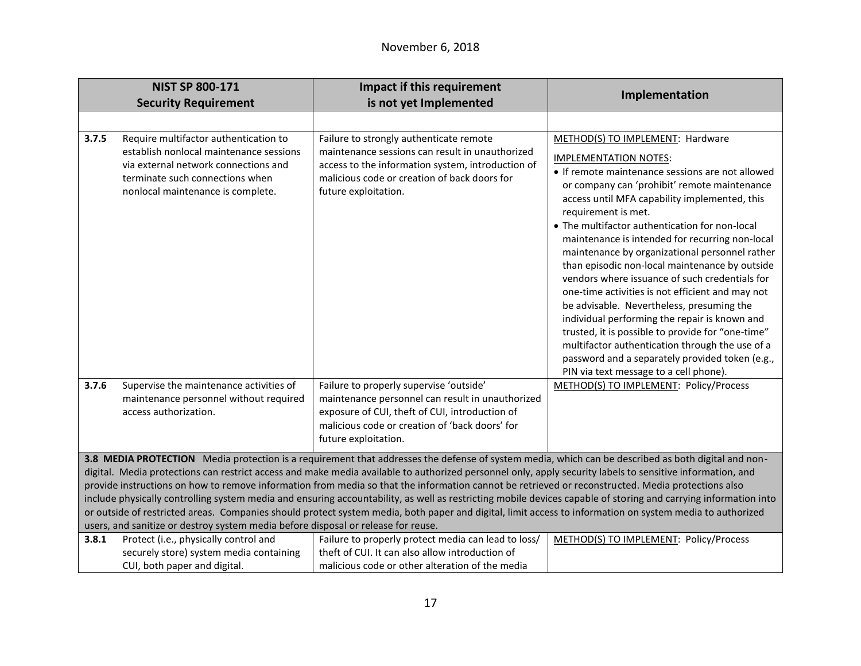|       | <b>NIST SP 800-171</b>                                                                                                                                                                           | <b>Impact if this requirement</b>                                                                                                                                                                                                                                                                                                                                                                                                                                                                                                                                                                                                                                                                                                                                                                                                                          | Implementation                                                                                                                                                                                                                                                                                                                                                                                                                                                                                                                                                                                                                                                                                                                                                                                                                                                 |
|-------|--------------------------------------------------------------------------------------------------------------------------------------------------------------------------------------------------|------------------------------------------------------------------------------------------------------------------------------------------------------------------------------------------------------------------------------------------------------------------------------------------------------------------------------------------------------------------------------------------------------------------------------------------------------------------------------------------------------------------------------------------------------------------------------------------------------------------------------------------------------------------------------------------------------------------------------------------------------------------------------------------------------------------------------------------------------------|----------------------------------------------------------------------------------------------------------------------------------------------------------------------------------------------------------------------------------------------------------------------------------------------------------------------------------------------------------------------------------------------------------------------------------------------------------------------------------------------------------------------------------------------------------------------------------------------------------------------------------------------------------------------------------------------------------------------------------------------------------------------------------------------------------------------------------------------------------------|
|       | <b>Security Requirement</b>                                                                                                                                                                      | is not yet Implemented                                                                                                                                                                                                                                                                                                                                                                                                                                                                                                                                                                                                                                                                                                                                                                                                                                     |                                                                                                                                                                                                                                                                                                                                                                                                                                                                                                                                                                                                                                                                                                                                                                                                                                                                |
|       |                                                                                                                                                                                                  |                                                                                                                                                                                                                                                                                                                                                                                                                                                                                                                                                                                                                                                                                                                                                                                                                                                            |                                                                                                                                                                                                                                                                                                                                                                                                                                                                                                                                                                                                                                                                                                                                                                                                                                                                |
| 3.7.5 | Require multifactor authentication to<br>establish nonlocal maintenance sessions<br>via external network connections and<br>terminate such connections when<br>nonlocal maintenance is complete. | Failure to strongly authenticate remote<br>maintenance sessions can result in unauthorized<br>access to the information system, introduction of<br>malicious code or creation of back doors for<br>future exploitation.                                                                                                                                                                                                                                                                                                                                                                                                                                                                                                                                                                                                                                    | METHOD(S) TO IMPLEMENT: Hardware<br><b>IMPLEMENTATION NOTES:</b><br>• If remote maintenance sessions are not allowed<br>or company can 'prohibit' remote maintenance<br>access until MFA capability implemented, this<br>requirement is met.<br>• The multifactor authentication for non-local<br>maintenance is intended for recurring non-local<br>maintenance by organizational personnel rather<br>than episodic non-local maintenance by outside<br>vendors where issuance of such credentials for<br>one-time activities is not efficient and may not<br>be advisable. Nevertheless, presuming the<br>individual performing the repair is known and<br>trusted, it is possible to provide for "one-time"<br>multifactor authentication through the use of a<br>password and a separately provided token (e.g.,<br>PIN via text message to a cell phone). |
| 3.7.6 | Supervise the maintenance activities of<br>maintenance personnel without required<br>access authorization.                                                                                       | Failure to properly supervise 'outside'<br>maintenance personnel can result in unauthorized<br>exposure of CUI, theft of CUI, introduction of<br>malicious code or creation of 'back doors' for<br>future exploitation.                                                                                                                                                                                                                                                                                                                                                                                                                                                                                                                                                                                                                                    | METHOD(S) TO IMPLEMENT: Policy/Process                                                                                                                                                                                                                                                                                                                                                                                                                                                                                                                                                                                                                                                                                                                                                                                                                         |
| 3.8.1 | users, and sanitize or destroy system media before disposal or release for reuse.<br>Protect (i.e., physically control and                                                                       | 3.8 MEDIA PROTECTION Media protection is a requirement that addresses the defense of system media, which can be described as both digital and non-<br>digital. Media protections can restrict access and make media available to authorized personnel only, apply security labels to sensitive information, and<br>provide instructions on how to remove information from media so that the information cannot be retrieved or reconstructed. Media protections also<br>include physically controlling system media and ensuring accountability, as well as restricting mobile devices capable of storing and carrying information into<br>or outside of restricted areas. Companies should protect system media, both paper and digital, limit access to information on system media to authorized<br>Failure to properly protect media can lead to loss/ | METHOD(S) TO IMPLEMENT: Policy/Process                                                                                                                                                                                                                                                                                                                                                                                                                                                                                                                                                                                                                                                                                                                                                                                                                         |
|       | securely store) system media containing<br>CUI, both paper and digital.                                                                                                                          | theft of CUI. It can also allow introduction of<br>malicious code or other alteration of the media                                                                                                                                                                                                                                                                                                                                                                                                                                                                                                                                                                                                                                                                                                                                                         |                                                                                                                                                                                                                                                                                                                                                                                                                                                                                                                                                                                                                                                                                                                                                                                                                                                                |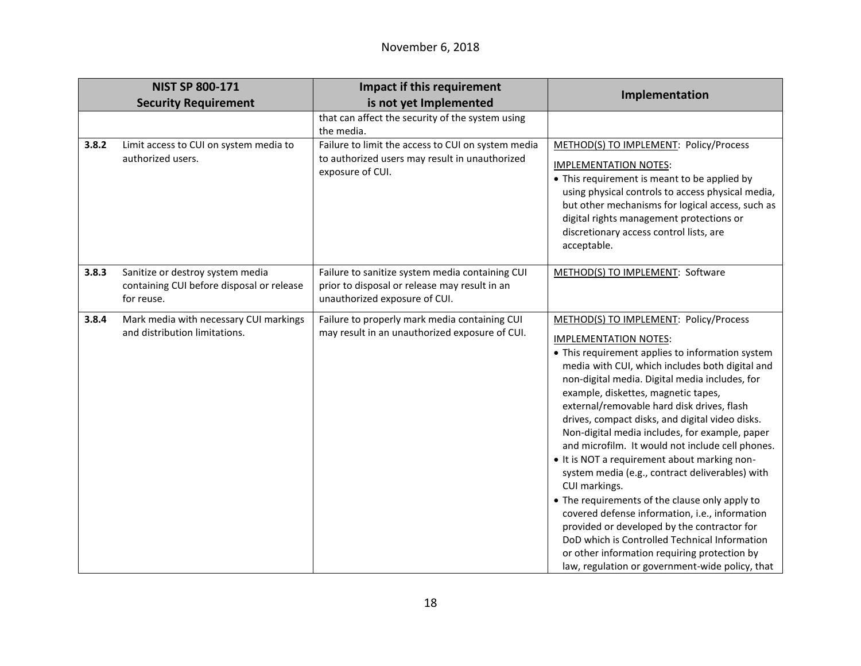|       | <b>NIST SP 800-171</b>                                                                      | Impact if this requirement                                                                                                        | Implementation                                                                                                                                                                                                                                                                                                                                                                                                                                                                                                                                                                                                                                                                                                                                                                                                                                                                                           |
|-------|---------------------------------------------------------------------------------------------|-----------------------------------------------------------------------------------------------------------------------------------|----------------------------------------------------------------------------------------------------------------------------------------------------------------------------------------------------------------------------------------------------------------------------------------------------------------------------------------------------------------------------------------------------------------------------------------------------------------------------------------------------------------------------------------------------------------------------------------------------------------------------------------------------------------------------------------------------------------------------------------------------------------------------------------------------------------------------------------------------------------------------------------------------------|
|       | <b>Security Requirement</b>                                                                 | is not yet Implemented                                                                                                            |                                                                                                                                                                                                                                                                                                                                                                                                                                                                                                                                                                                                                                                                                                                                                                                                                                                                                                          |
|       |                                                                                             | that can affect the security of the system using<br>the media.                                                                    |                                                                                                                                                                                                                                                                                                                                                                                                                                                                                                                                                                                                                                                                                                                                                                                                                                                                                                          |
| 3.8.2 | Limit access to CUI on system media to                                                      | Failure to limit the access to CUI on system media                                                                                | METHOD(S) TO IMPLEMENT: Policy/Process                                                                                                                                                                                                                                                                                                                                                                                                                                                                                                                                                                                                                                                                                                                                                                                                                                                                   |
|       | authorized users.                                                                           | to authorized users may result in unauthorized<br>exposure of CUI.                                                                | <b>IMPLEMENTATION NOTES:</b>                                                                                                                                                                                                                                                                                                                                                                                                                                                                                                                                                                                                                                                                                                                                                                                                                                                                             |
|       |                                                                                             |                                                                                                                                   | • This requirement is meant to be applied by<br>using physical controls to access physical media,<br>but other mechanisms for logical access, such as<br>digital rights management protections or<br>discretionary access control lists, are<br>acceptable.                                                                                                                                                                                                                                                                                                                                                                                                                                                                                                                                                                                                                                              |
| 3.8.3 | Sanitize or destroy system media<br>containing CUI before disposal or release<br>for reuse. | Failure to sanitize system media containing CUI<br>prior to disposal or release may result in an<br>unauthorized exposure of CUI. | METHOD(S) TO IMPLEMENT: Software                                                                                                                                                                                                                                                                                                                                                                                                                                                                                                                                                                                                                                                                                                                                                                                                                                                                         |
| 3.8.4 | Mark media with necessary CUI markings<br>and distribution limitations.                     | Failure to properly mark media containing CUI<br>may result in an unauthorized exposure of CUI.                                   | METHOD(S) TO IMPLEMENT: Policy/Process<br><b>IMPLEMENTATION NOTES:</b><br>• This requirement applies to information system<br>media with CUI, which includes both digital and<br>non-digital media. Digital media includes, for<br>example, diskettes, magnetic tapes,<br>external/removable hard disk drives, flash<br>drives, compact disks, and digital video disks.<br>Non-digital media includes, for example, paper<br>and microfilm. It would not include cell phones.<br>• It is NOT a requirement about marking non-<br>system media (e.g., contract deliverables) with<br>CUI markings.<br>• The requirements of the clause only apply to<br>covered defense information, i.e., information<br>provided or developed by the contractor for<br>DoD which is Controlled Technical Information<br>or other information requiring protection by<br>law, regulation or government-wide policy, that |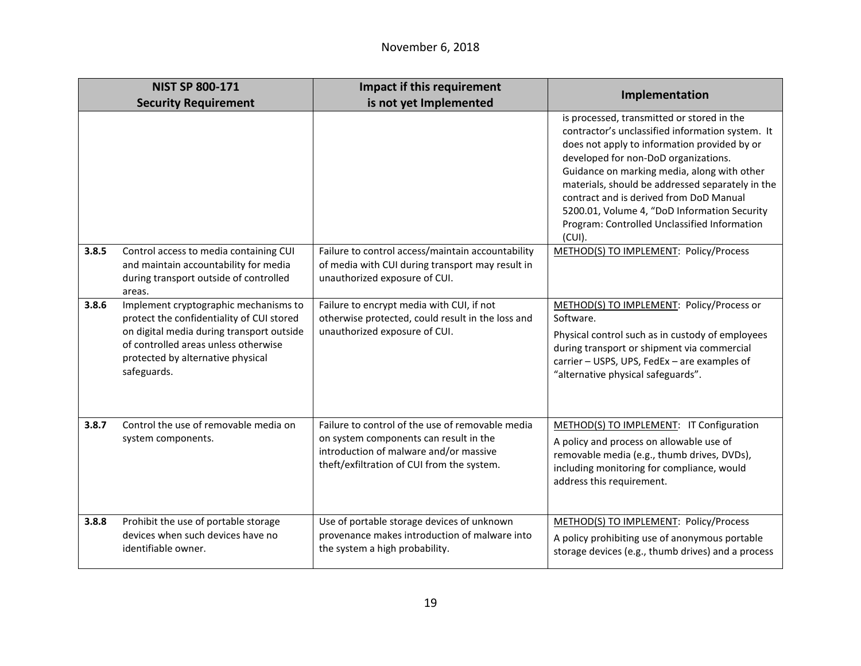|       | <b>NIST SP 800-171</b>                                                                                                                                                                                                      | Impact if this requirement                                                                                                                                                         | Implementation                                                                                                                                                                                                                                                                                                                                                                                                                                    |
|-------|-----------------------------------------------------------------------------------------------------------------------------------------------------------------------------------------------------------------------------|------------------------------------------------------------------------------------------------------------------------------------------------------------------------------------|---------------------------------------------------------------------------------------------------------------------------------------------------------------------------------------------------------------------------------------------------------------------------------------------------------------------------------------------------------------------------------------------------------------------------------------------------|
|       | <b>Security Requirement</b>                                                                                                                                                                                                 | is not yet Implemented                                                                                                                                                             |                                                                                                                                                                                                                                                                                                                                                                                                                                                   |
|       |                                                                                                                                                                                                                             |                                                                                                                                                                                    | is processed, transmitted or stored in the<br>contractor's unclassified information system. It<br>does not apply to information provided by or<br>developed for non-DoD organizations.<br>Guidance on marking media, along with other<br>materials, should be addressed separately in the<br>contract and is derived from DoD Manual<br>5200.01, Volume 4, "DoD Information Security<br>Program: Controlled Unclassified Information<br>$(CUI)$ . |
| 3.8.5 | Control access to media containing CUI<br>and maintain accountability for media<br>during transport outside of controlled<br>areas.                                                                                         | Failure to control access/maintain accountability<br>of media with CUI during transport may result in<br>unauthorized exposure of CUI.                                             | METHOD(S) TO IMPLEMENT: Policy/Process                                                                                                                                                                                                                                                                                                                                                                                                            |
| 3.8.6 | Implement cryptographic mechanisms to<br>protect the confidentiality of CUI stored<br>on digital media during transport outside<br>of controlled areas unless otherwise<br>protected by alternative physical<br>safeguards. | Failure to encrypt media with CUI, if not<br>otherwise protected, could result in the loss and<br>unauthorized exposure of CUI.                                                    | METHOD(S) TO IMPLEMENT: Policy/Process or<br>Software.<br>Physical control such as in custody of employees<br>during transport or shipment via commercial<br>carrier - USPS, UPS, FedEx - are examples of<br>"alternative physical safeguards".                                                                                                                                                                                                   |
| 3.8.7 | Control the use of removable media on<br>system components.                                                                                                                                                                 | Failure to control of the use of removable media<br>on system components can result in the<br>introduction of malware and/or massive<br>theft/exfiltration of CUI from the system. | METHOD(S) TO IMPLEMENT: IT Configuration<br>A policy and process on allowable use of<br>removable media (e.g., thumb drives, DVDs),<br>including monitoring for compliance, would<br>address this requirement.                                                                                                                                                                                                                                    |
| 3.8.8 | Prohibit the use of portable storage<br>devices when such devices have no<br>identifiable owner.                                                                                                                            | Use of portable storage devices of unknown<br>provenance makes introduction of malware into<br>the system a high probability.                                                      | METHOD(S) TO IMPLEMENT: Policy/Process<br>A policy prohibiting use of anonymous portable<br>storage devices (e.g., thumb drives) and a process                                                                                                                                                                                                                                                                                                    |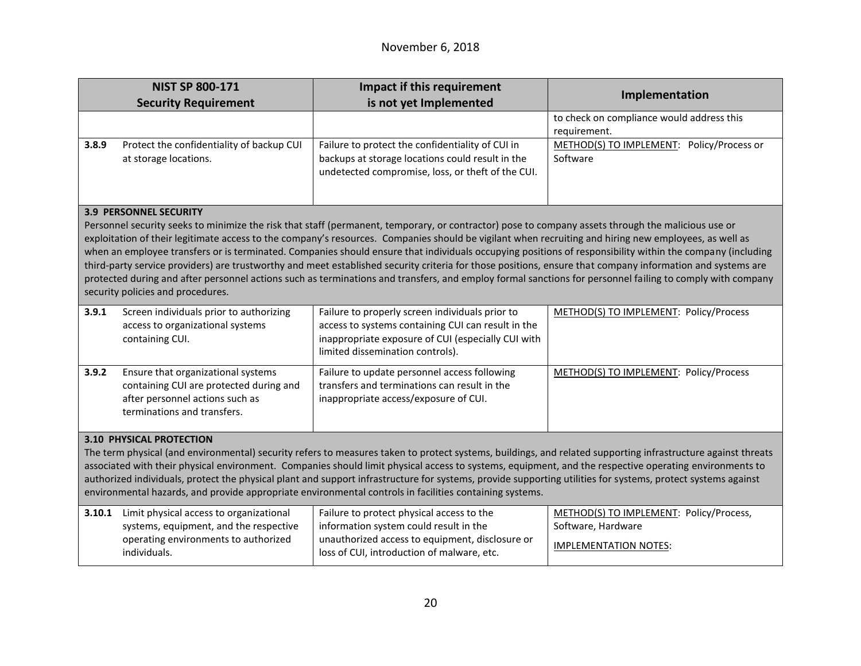|                                                                                                                                                                                                                                                                                                                                                                                                                                                                                                                                                                                                                                                                                                                                                                                                                                                                           | <b>NIST SP 800-171</b>                                                                                                                          | Impact if this requirement                                                                                                                                                                      | Implementation                                                                                |
|---------------------------------------------------------------------------------------------------------------------------------------------------------------------------------------------------------------------------------------------------------------------------------------------------------------------------------------------------------------------------------------------------------------------------------------------------------------------------------------------------------------------------------------------------------------------------------------------------------------------------------------------------------------------------------------------------------------------------------------------------------------------------------------------------------------------------------------------------------------------------|-------------------------------------------------------------------------------------------------------------------------------------------------|-------------------------------------------------------------------------------------------------------------------------------------------------------------------------------------------------|-----------------------------------------------------------------------------------------------|
|                                                                                                                                                                                                                                                                                                                                                                                                                                                                                                                                                                                                                                                                                                                                                                                                                                                                           | <b>Security Requirement</b>                                                                                                                     | is not yet Implemented                                                                                                                                                                          |                                                                                               |
|                                                                                                                                                                                                                                                                                                                                                                                                                                                                                                                                                                                                                                                                                                                                                                                                                                                                           |                                                                                                                                                 |                                                                                                                                                                                                 | to check on compliance would address this<br>requirement.                                     |
| 3.8.9                                                                                                                                                                                                                                                                                                                                                                                                                                                                                                                                                                                                                                                                                                                                                                                                                                                                     | Protect the confidentiality of backup CUI<br>at storage locations.                                                                              | Failure to protect the confidentiality of CUI in<br>backups at storage locations could result in the<br>undetected compromise, loss, or theft of the CUI.                                       | METHOD(S) TO IMPLEMENT: Policy/Process or<br>Software                                         |
| <b>3.9 PERSONNEL SECURITY</b><br>Personnel security seeks to minimize the risk that staff (permanent, temporary, or contractor) pose to company assets through the malicious use or<br>exploitation of their legitimate access to the company's resources. Companies should be vigilant when recruiting and hiring new employees, as well as<br>when an employee transfers or is terminated. Companies should ensure that individuals occupying positions of responsibility within the company (including<br>third-party service providers) are trustworthy and meet established security criteria for those positions, ensure that company information and systems are<br>protected during and after personnel actions such as terminations and transfers, and employ formal sanctions for personnel failing to comply with company<br>security policies and procedures. |                                                                                                                                                 |                                                                                                                                                                                                 |                                                                                               |
| 3.9.1                                                                                                                                                                                                                                                                                                                                                                                                                                                                                                                                                                                                                                                                                                                                                                                                                                                                     | Screen individuals prior to authorizing<br>access to organizational systems<br>containing CUI.                                                  | Failure to properly screen individuals prior to<br>access to systems containing CUI can result in the<br>inappropriate exposure of CUI (especially CUI with<br>limited dissemination controls). | METHOD(S) TO IMPLEMENT: Policy/Process                                                        |
| 3.9.2                                                                                                                                                                                                                                                                                                                                                                                                                                                                                                                                                                                                                                                                                                                                                                                                                                                                     | Ensure that organizational systems<br>containing CUI are protected during and<br>after personnel actions such as<br>terminations and transfers. | Failure to update personnel access following<br>transfers and terminations can result in the<br>inappropriate access/exposure of CUI.                                                           | METHOD(S) TO IMPLEMENT: Policy/Process                                                        |
| <b>3.10 PHYSICAL PROTECTION</b><br>The term physical (and environmental) security refers to measures taken to protect systems, buildings, and related supporting infrastructure against threats<br>associated with their physical environment. Companies should limit physical access to systems, equipment, and the respective operating environments to<br>authorized individuals, protect the physical plant and support infrastructure for systems, provide supporting utilities for systems, protect systems against<br>environmental hazards, and provide appropriate environmental controls in facilities containing systems.                                                                                                                                                                                                                                      |                                                                                                                                                 |                                                                                                                                                                                                 |                                                                                               |
| 3.10.1                                                                                                                                                                                                                                                                                                                                                                                                                                                                                                                                                                                                                                                                                                                                                                                                                                                                    | Limit physical access to organizational<br>systems, equipment, and the respective<br>operating environments to authorized<br>individuals.       | Failure to protect physical access to the<br>information system could result in the<br>unauthorized access to equipment, disclosure or<br>loss of CUI, introduction of malware, etc.            | METHOD(S) TO IMPLEMENT: Policy/Process,<br>Software, Hardware<br><b>IMPLEMENTATION NOTES:</b> |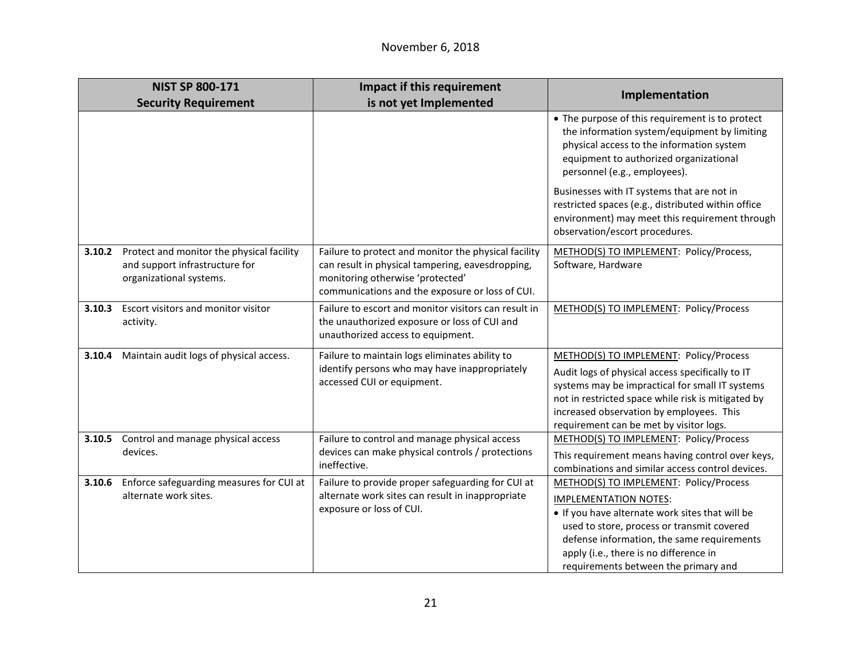|        | <b>NIST SP 800-171</b>                                                                                 | Impact if this requirement                                                                                                                                                                      |                                                                                                                                                                                                                                                                                                         |
|--------|--------------------------------------------------------------------------------------------------------|-------------------------------------------------------------------------------------------------------------------------------------------------------------------------------------------------|---------------------------------------------------------------------------------------------------------------------------------------------------------------------------------------------------------------------------------------------------------------------------------------------------------|
|        | <b>Security Requirement</b>                                                                            | is not yet Implemented                                                                                                                                                                          | Implementation                                                                                                                                                                                                                                                                                          |
|        |                                                                                                        |                                                                                                                                                                                                 | • The purpose of this requirement is to protect<br>the information system/equipment by limiting<br>physical access to the information system<br>equipment to authorized organizational<br>personnel (e.g., employees).                                                                                  |
|        |                                                                                                        |                                                                                                                                                                                                 | Businesses with IT systems that are not in<br>restricted spaces (e.g., distributed within office<br>environment) may meet this requirement through<br>observation/escort procedures.                                                                                                                    |
| 3.10.2 | Protect and monitor the physical facility<br>and support infrastructure for<br>organizational systems. | Failure to protect and monitor the physical facility<br>can result in physical tampering, eavesdropping,<br>monitoring otherwise 'protected'<br>communications and the exposure or loss of CUI. | METHOD(S) TO IMPLEMENT: Policy/Process,<br>Software, Hardware                                                                                                                                                                                                                                           |
| 3.10.3 | Escort visitors and monitor visitor<br>activity.                                                       | Failure to escort and monitor visitors can result in<br>the unauthorized exposure or loss of CUI and<br>unauthorized access to equipment.                                                       | METHOD(S) TO IMPLEMENT: Policy/Process                                                                                                                                                                                                                                                                  |
| 3.10.4 | Maintain audit logs of physical access.                                                                | Failure to maintain logs eliminates ability to<br>identify persons who may have inappropriately<br>accessed CUI or equipment.                                                                   | METHOD(S) TO IMPLEMENT: Policy/Process<br>Audit logs of physical access specifically to IT<br>systems may be impractical for small IT systems<br>not in restricted space while risk is mitigated by<br>increased observation by employees. This<br>requirement can be met by visitor logs.              |
| 3.10.5 | Control and manage physical access<br>devices.                                                         | Failure to control and manage physical access<br>devices can make physical controls / protections<br>ineffective.                                                                               | METHOD(S) TO IMPLEMENT: Policy/Process<br>This requirement means having control over keys,<br>combinations and similar access control devices.                                                                                                                                                          |
| 3.10.6 | Enforce safeguarding measures for CUI at<br>alternate work sites.                                      | Failure to provide proper safeguarding for CUI at<br>alternate work sites can result in inappropriate<br>exposure or loss of CUI.                                                               | METHOD(S) TO IMPLEMENT: Policy/Process<br><b>IMPLEMENTATION NOTES:</b><br>. If you have alternate work sites that will be<br>used to store, process or transmit covered<br>defense information, the same requirements<br>apply (i.e., there is no difference in<br>requirements between the primary and |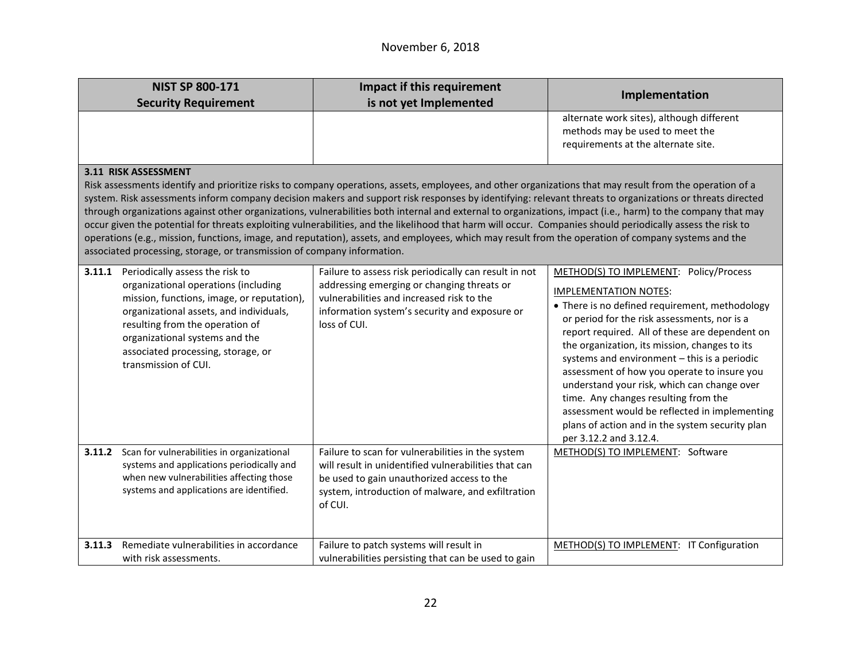|        | <b>NIST SP 800-171</b>                                                                                                                                                                                                                                                                              | <b>Impact if this requirement</b>                                                                                                                                                                                                                                                                                                                                                                                                                                                                                                                                                                                                                                                                                                                                                                         | Implementation                                                                                                                                                                                                                                                                                                                                                                                                                                                                                                                                                                                  |
|--------|-----------------------------------------------------------------------------------------------------------------------------------------------------------------------------------------------------------------------------------------------------------------------------------------------------|-----------------------------------------------------------------------------------------------------------------------------------------------------------------------------------------------------------------------------------------------------------------------------------------------------------------------------------------------------------------------------------------------------------------------------------------------------------------------------------------------------------------------------------------------------------------------------------------------------------------------------------------------------------------------------------------------------------------------------------------------------------------------------------------------------------|-------------------------------------------------------------------------------------------------------------------------------------------------------------------------------------------------------------------------------------------------------------------------------------------------------------------------------------------------------------------------------------------------------------------------------------------------------------------------------------------------------------------------------------------------------------------------------------------------|
|        | <b>Security Requirement</b>                                                                                                                                                                                                                                                                         | is not yet Implemented                                                                                                                                                                                                                                                                                                                                                                                                                                                                                                                                                                                                                                                                                                                                                                                    |                                                                                                                                                                                                                                                                                                                                                                                                                                                                                                                                                                                                 |
|        |                                                                                                                                                                                                                                                                                                     |                                                                                                                                                                                                                                                                                                                                                                                                                                                                                                                                                                                                                                                                                                                                                                                                           | alternate work sites), although different<br>methods may be used to meet the<br>requirements at the alternate site.                                                                                                                                                                                                                                                                                                                                                                                                                                                                             |
|        | 3.11 RISK ASSESSMENT                                                                                                                                                                                                                                                                                |                                                                                                                                                                                                                                                                                                                                                                                                                                                                                                                                                                                                                                                                                                                                                                                                           |                                                                                                                                                                                                                                                                                                                                                                                                                                                                                                                                                                                                 |
|        | associated processing, storage, or transmission of company information.                                                                                                                                                                                                                             | Risk assessments identify and prioritize risks to company operations, assets, employees, and other organizations that may result from the operation of a<br>system. Risk assessments inform company decision makers and support risk responses by identifying: relevant threats to organizations or threats directed<br>through organizations against other organizations, vulnerabilities both internal and external to organizations, impact (i.e., harm) to the company that may<br>occur given the potential for threats exploiting vulnerabilities, and the likelihood that harm will occur. Companies should periodically assess the risk to<br>operations (e.g., mission, functions, image, and reputation), assets, and employees, which may result from the operation of company systems and the |                                                                                                                                                                                                                                                                                                                                                                                                                                                                                                                                                                                                 |
| 3.11.1 | Periodically assess the risk to<br>organizational operations (including<br>mission, functions, image, or reputation),<br>organizational assets, and individuals,<br>resulting from the operation of<br>organizational systems and the<br>associated processing, storage, or<br>transmission of CUI. | Failure to assess risk periodically can result in not<br>addressing emerging or changing threats or<br>vulnerabilities and increased risk to the<br>information system's security and exposure or<br>loss of CUI.                                                                                                                                                                                                                                                                                                                                                                                                                                                                                                                                                                                         | METHOD(S) TO IMPLEMENT: Policy/Process<br><b>IMPLEMENTATION NOTES:</b><br>• There is no defined requirement, methodology<br>or period for the risk assessments, nor is a<br>report required. All of these are dependent on<br>the organization, its mission, changes to its<br>systems and environment - this is a periodic<br>assessment of how you operate to insure you<br>understand your risk, which can change over<br>time. Any changes resulting from the<br>assessment would be reflected in implementing<br>plans of action and in the system security plan<br>per 3.12.2 and 3.12.4. |
|        | 3.11.2 Scan for vulnerabilities in organizational<br>systems and applications periodically and<br>when new vulnerabilities affecting those<br>systems and applications are identified.                                                                                                              | Failure to scan for vulnerabilities in the system<br>will result in unidentified vulnerabilities that can<br>be used to gain unauthorized access to the<br>system, introduction of malware, and exfiltration<br>of CUI.                                                                                                                                                                                                                                                                                                                                                                                                                                                                                                                                                                                   | METHOD(S) TO IMPLEMENT: Software                                                                                                                                                                                                                                                                                                                                                                                                                                                                                                                                                                |
| 3.11.3 | Remediate vulnerabilities in accordance<br>with risk assessments.                                                                                                                                                                                                                                   | Failure to patch systems will result in<br>vulnerabilities persisting that can be used to gain                                                                                                                                                                                                                                                                                                                                                                                                                                                                                                                                                                                                                                                                                                            | METHOD(S) TO IMPLEMENT: IT Configuration                                                                                                                                                                                                                                                                                                                                                                                                                                                                                                                                                        |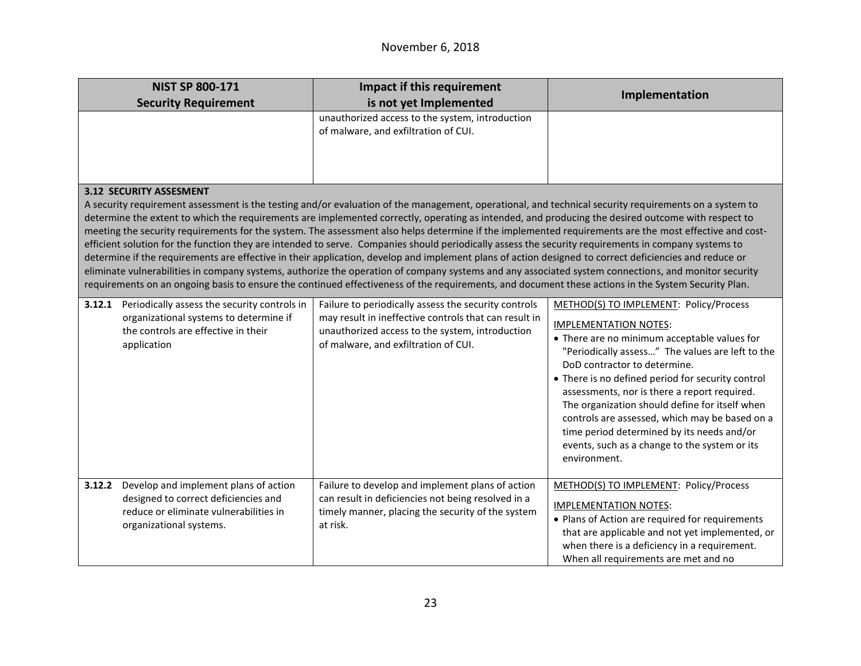|                                                                                                                                                                                                                                                                                                                                                                                                                                                                                                                                                                                                                                                                                                                                                                                                                                                                                                                                                                                                                                                                                                                                          | <b>NIST SP 800-171</b><br><b>Security Requirement</b>                                                                                              | Impact if this requirement<br>is not yet Implemented                                                                                                                                                     | Implementation                                                                                                                                                                                                                                                                                                                                                                                                                                                                                                                     |
|------------------------------------------------------------------------------------------------------------------------------------------------------------------------------------------------------------------------------------------------------------------------------------------------------------------------------------------------------------------------------------------------------------------------------------------------------------------------------------------------------------------------------------------------------------------------------------------------------------------------------------------------------------------------------------------------------------------------------------------------------------------------------------------------------------------------------------------------------------------------------------------------------------------------------------------------------------------------------------------------------------------------------------------------------------------------------------------------------------------------------------------|----------------------------------------------------------------------------------------------------------------------------------------------------|----------------------------------------------------------------------------------------------------------------------------------------------------------------------------------------------------------|------------------------------------------------------------------------------------------------------------------------------------------------------------------------------------------------------------------------------------------------------------------------------------------------------------------------------------------------------------------------------------------------------------------------------------------------------------------------------------------------------------------------------------|
|                                                                                                                                                                                                                                                                                                                                                                                                                                                                                                                                                                                                                                                                                                                                                                                                                                                                                                                                                                                                                                                                                                                                          |                                                                                                                                                    | unauthorized access to the system, introduction<br>of malware, and exfiltration of CUI.                                                                                                                  |                                                                                                                                                                                                                                                                                                                                                                                                                                                                                                                                    |
| <b>3.12 SECURITY ASSESMENT</b><br>A security requirement assessment is the testing and/or evaluation of the management, operational, and technical security requirements on a system to<br>determine the extent to which the requirements are implemented correctly, operating as intended, and producing the desired outcome with respect to<br>meeting the security requirements for the system. The assessment also helps determine if the implemented requirements are the most effective and cost-<br>efficient solution for the function they are intended to serve. Companies should periodically assess the security requirements in company systems to<br>determine if the requirements are effective in their application, develop and implement plans of action designed to correct deficiencies and reduce or<br>eliminate vulnerabilities in company systems, authorize the operation of company systems and any associated system connections, and monitor security<br>requirements on an ongoing basis to ensure the continued effectiveness of the requirements, and document these actions in the System Security Plan. |                                                                                                                                                    |                                                                                                                                                                                                          |                                                                                                                                                                                                                                                                                                                                                                                                                                                                                                                                    |
| 3.12.1                                                                                                                                                                                                                                                                                                                                                                                                                                                                                                                                                                                                                                                                                                                                                                                                                                                                                                                                                                                                                                                                                                                                   | Periodically assess the security controls in<br>organizational systems to determine if<br>the controls are effective in their<br>application       | Failure to periodically assess the security controls<br>may result in ineffective controls that can result in<br>unauthorized access to the system, introduction<br>of malware, and exfiltration of CUI. | METHOD(S) TO IMPLEMENT: Policy/Process<br><b>IMPLEMENTATION NOTES:</b><br>• There are no minimum acceptable values for<br>"Periodically assess" The values are left to the<br>DoD contractor to determine.<br>• There is no defined period for security control<br>assessments, nor is there a report required.<br>The organization should define for itself when<br>controls are assessed, which may be based on a<br>time period determined by its needs and/or<br>events, such as a change to the system or its<br>environment. |
| 3.12.2                                                                                                                                                                                                                                                                                                                                                                                                                                                                                                                                                                                                                                                                                                                                                                                                                                                                                                                                                                                                                                                                                                                                   | Develop and implement plans of action<br>designed to correct deficiencies and<br>reduce or eliminate vulnerabilities in<br>organizational systems. | Failure to develop and implement plans of action<br>can result in deficiencies not being resolved in a<br>timely manner, placing the security of the system<br>at risk.                                  | METHOD(S) TO IMPLEMENT: Policy/Process<br><b>IMPLEMENTATION NOTES:</b><br>• Plans of Action are required for requirements<br>that are applicable and not yet implemented, or<br>when there is a deficiency in a requirement.<br>When all requirements are met and no                                                                                                                                                                                                                                                               |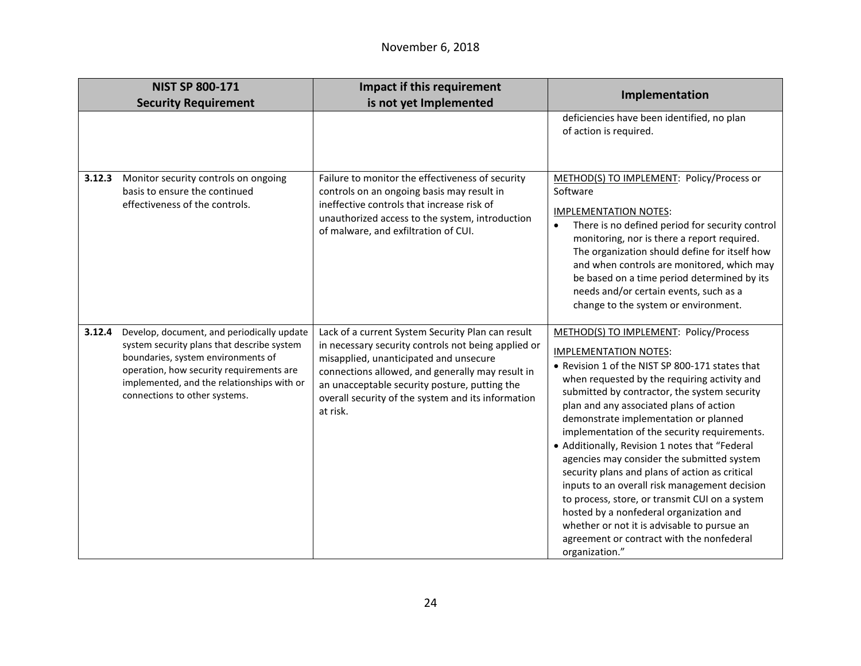|        | <b>NIST SP 800-171</b><br><b>Security Requirement</b>                                                                                                                                                                                                     | Impact if this requirement<br>is not yet Implemented                                                                                                                                                                                                                                                                      | Implementation                                                                                                                                                                                                                                                                                                                                                                                                                                                                                                                                                                                                                                                                                                                                                              |
|--------|-----------------------------------------------------------------------------------------------------------------------------------------------------------------------------------------------------------------------------------------------------------|---------------------------------------------------------------------------------------------------------------------------------------------------------------------------------------------------------------------------------------------------------------------------------------------------------------------------|-----------------------------------------------------------------------------------------------------------------------------------------------------------------------------------------------------------------------------------------------------------------------------------------------------------------------------------------------------------------------------------------------------------------------------------------------------------------------------------------------------------------------------------------------------------------------------------------------------------------------------------------------------------------------------------------------------------------------------------------------------------------------------|
|        |                                                                                                                                                                                                                                                           |                                                                                                                                                                                                                                                                                                                           | deficiencies have been identified, no plan<br>of action is required.                                                                                                                                                                                                                                                                                                                                                                                                                                                                                                                                                                                                                                                                                                        |
| 3.12.3 | Monitor security controls on ongoing<br>basis to ensure the continued<br>effectiveness of the controls.                                                                                                                                                   | Failure to monitor the effectiveness of security<br>controls on an ongoing basis may result in<br>ineffective controls that increase risk of<br>unauthorized access to the system, introduction<br>of malware, and exfiltration of CUI.                                                                                   | METHOD(S) TO IMPLEMENT: Policy/Process or<br>Software<br><b>IMPLEMENTATION NOTES:</b><br>There is no defined period for security control<br>monitoring, nor is there a report required.<br>The organization should define for itself how<br>and when controls are monitored, which may<br>be based on a time period determined by its<br>needs and/or certain events, such as a<br>change to the system or environment.                                                                                                                                                                                                                                                                                                                                                     |
| 3.12.4 | Develop, document, and periodically update<br>system security plans that describe system<br>boundaries, system environments of<br>operation, how security requirements are<br>implemented, and the relationships with or<br>connections to other systems. | Lack of a current System Security Plan can result<br>in necessary security controls not being applied or<br>misapplied, unanticipated and unsecure<br>connections allowed, and generally may result in<br>an unacceptable security posture, putting the<br>overall security of the system and its information<br>at risk. | METHOD(S) TO IMPLEMENT: Policy/Process<br><b>IMPLEMENTATION NOTES:</b><br>• Revision 1 of the NIST SP 800-171 states that<br>when requested by the requiring activity and<br>submitted by contractor, the system security<br>plan and any associated plans of action<br>demonstrate implementation or planned<br>implementation of the security requirements.<br>• Additionally, Revision 1 notes that "Federal<br>agencies may consider the submitted system<br>security plans and plans of action as critical<br>inputs to an overall risk management decision<br>to process, store, or transmit CUI on a system<br>hosted by a nonfederal organization and<br>whether or not it is advisable to pursue an<br>agreement or contract with the nonfederal<br>organization." |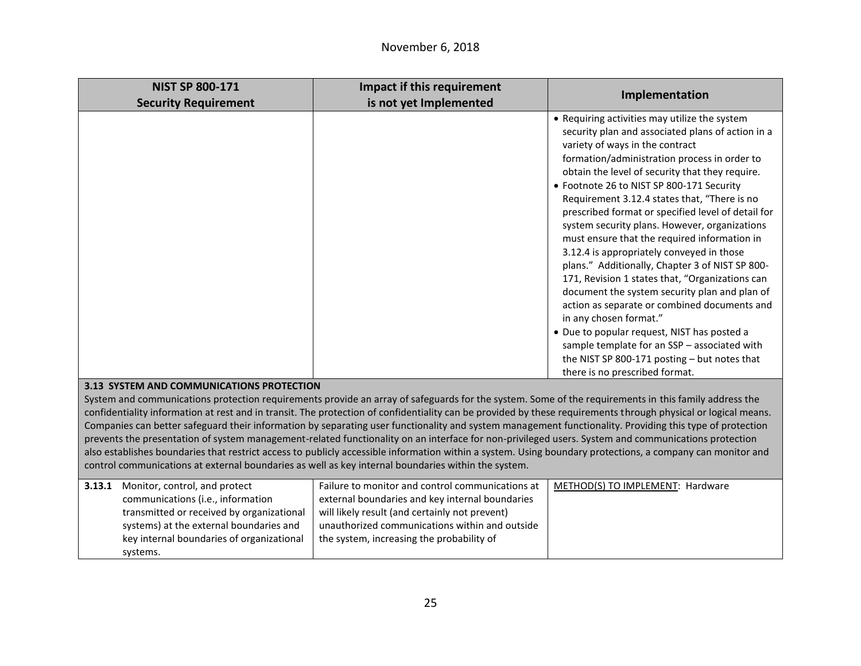| <b>NIST SP 800-171</b>                                                                                                                                                                                                                                                                                                                                                                                                                                                                                                                                                                                                                                                                                                                                                                                                                                                                                         | Impact if this requirement                                                                                                                                                                                                                           |                                                                                                                                                                                                                                                                                                                                                                                                                                                                                                                                                                                                                                                                                                                                                                                                                                                                                                                                                             |  |
|----------------------------------------------------------------------------------------------------------------------------------------------------------------------------------------------------------------------------------------------------------------------------------------------------------------------------------------------------------------------------------------------------------------------------------------------------------------------------------------------------------------------------------------------------------------------------------------------------------------------------------------------------------------------------------------------------------------------------------------------------------------------------------------------------------------------------------------------------------------------------------------------------------------|------------------------------------------------------------------------------------------------------------------------------------------------------------------------------------------------------------------------------------------------------|-------------------------------------------------------------------------------------------------------------------------------------------------------------------------------------------------------------------------------------------------------------------------------------------------------------------------------------------------------------------------------------------------------------------------------------------------------------------------------------------------------------------------------------------------------------------------------------------------------------------------------------------------------------------------------------------------------------------------------------------------------------------------------------------------------------------------------------------------------------------------------------------------------------------------------------------------------------|--|
| <b>Security Requirement</b>                                                                                                                                                                                                                                                                                                                                                                                                                                                                                                                                                                                                                                                                                                                                                                                                                                                                                    | is not yet Implemented                                                                                                                                                                                                                               | Implementation                                                                                                                                                                                                                                                                                                                                                                                                                                                                                                                                                                                                                                                                                                                                                                                                                                                                                                                                              |  |
|                                                                                                                                                                                                                                                                                                                                                                                                                                                                                                                                                                                                                                                                                                                                                                                                                                                                                                                |                                                                                                                                                                                                                                                      | • Requiring activities may utilize the system<br>security plan and associated plans of action in a<br>variety of ways in the contract<br>formation/administration process in order to<br>obtain the level of security that they require.<br>• Footnote 26 to NIST SP 800-171 Security<br>Requirement 3.12.4 states that, "There is no<br>prescribed format or specified level of detail for<br>system security plans. However, organizations<br>must ensure that the required information in<br>3.12.4 is appropriately conveyed in those<br>plans." Additionally, Chapter 3 of NIST SP 800-<br>171, Revision 1 states that, "Organizations can<br>document the system security plan and plan of<br>action as separate or combined documents and<br>in any chosen format."<br>• Due to popular request, NIST has posted a<br>sample template for an SSP - associated with<br>the NIST SP 800-171 posting - but notes that<br>there is no prescribed format. |  |
| 3.13 SYSTEM AND COMMUNICATIONS PROTECTION                                                                                                                                                                                                                                                                                                                                                                                                                                                                                                                                                                                                                                                                                                                                                                                                                                                                      |                                                                                                                                                                                                                                                      |                                                                                                                                                                                                                                                                                                                                                                                                                                                                                                                                                                                                                                                                                                                                                                                                                                                                                                                                                             |  |
| System and communications protection requirements provide an array of safeguards for the system. Some of the requirements in this family address the<br>confidentiality information at rest and in transit. The protection of confidentiality can be provided by these requirements through physical or logical means.<br>Companies can better safeguard their information by separating user functionality and system management functionality. Providing this type of protection<br>prevents the presentation of system management-related functionality on an interface for non-privileged users. System and communications protection<br>also establishes boundaries that restrict access to publicly accessible information within a system. Using boundary protections, a company can monitor and<br>control communications at external boundaries as well as key internal boundaries within the system. |                                                                                                                                                                                                                                                      |                                                                                                                                                                                                                                                                                                                                                                                                                                                                                                                                                                                                                                                                                                                                                                                                                                                                                                                                                             |  |
| Monitor, control, and protect<br>3.13.1<br>communications (i.e., information<br>transmitted or received by organizational<br>systems) at the external boundaries and<br>key internal boundaries of organizational<br>systems.                                                                                                                                                                                                                                                                                                                                                                                                                                                                                                                                                                                                                                                                                  | Failure to monitor and control communications at<br>external boundaries and key internal boundaries<br>will likely result (and certainly not prevent)<br>unauthorized communications within and outside<br>the system, increasing the probability of | METHOD(S) TO IMPLEMENT: Hardware                                                                                                                                                                                                                                                                                                                                                                                                                                                                                                                                                                                                                                                                                                                                                                                                                                                                                                                            |  |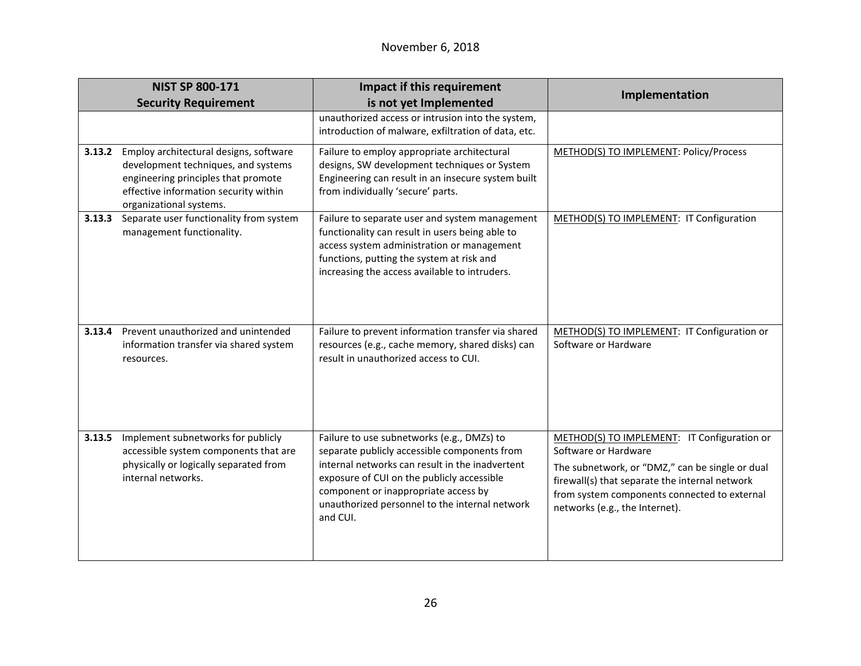| <b>NIST SP 800-171</b> |                                                                                                                                                                                          | Impact if this requirement                                                                                                                                                                                                                                                                        | Implementation                                                                                                                                                                                                                                             |
|------------------------|------------------------------------------------------------------------------------------------------------------------------------------------------------------------------------------|---------------------------------------------------------------------------------------------------------------------------------------------------------------------------------------------------------------------------------------------------------------------------------------------------|------------------------------------------------------------------------------------------------------------------------------------------------------------------------------------------------------------------------------------------------------------|
|                        | <b>Security Requirement</b>                                                                                                                                                              | is not yet Implemented                                                                                                                                                                                                                                                                            |                                                                                                                                                                                                                                                            |
|                        |                                                                                                                                                                                          | unauthorized access or intrusion into the system,<br>introduction of malware, exfiltration of data, etc.                                                                                                                                                                                          |                                                                                                                                                                                                                                                            |
| 3.13.2                 | Employ architectural designs, software<br>development techniques, and systems<br>engineering principles that promote<br>effective information security within<br>organizational systems. | Failure to employ appropriate architectural<br>designs, SW development techniques or System<br>Engineering can result in an insecure system built<br>from individually 'secure' parts.                                                                                                            | METHOD(S) TO IMPLEMENT: Policy/Process                                                                                                                                                                                                                     |
| 3.13.3                 | Separate user functionality from system<br>management functionality.                                                                                                                     | Failure to separate user and system management<br>functionality can result in users being able to<br>access system administration or management<br>functions, putting the system at risk and<br>increasing the access available to intruders.                                                     | METHOD(S) TO IMPLEMENT: IT Configuration                                                                                                                                                                                                                   |
| 3.13.4                 | Prevent unauthorized and unintended<br>information transfer via shared system<br>resources.                                                                                              | Failure to prevent information transfer via shared<br>resources (e.g., cache memory, shared disks) can<br>result in unauthorized access to CUI.                                                                                                                                                   | METHOD(S) TO IMPLEMENT: IT Configuration or<br>Software or Hardware                                                                                                                                                                                        |
| 3.13.5                 | Implement subnetworks for publicly<br>accessible system components that are<br>physically or logically separated from<br>internal networks.                                              | Failure to use subnetworks (e.g., DMZs) to<br>separate publicly accessible components from<br>internal networks can result in the inadvertent<br>exposure of CUI on the publicly accessible<br>component or inappropriate access by<br>unauthorized personnel to the internal network<br>and CUI. | METHOD(S) TO IMPLEMENT: IT Configuration or<br>Software or Hardware<br>The subnetwork, or "DMZ," can be single or dual<br>firewall(s) that separate the internal network<br>from system components connected to external<br>networks (e.g., the Internet). |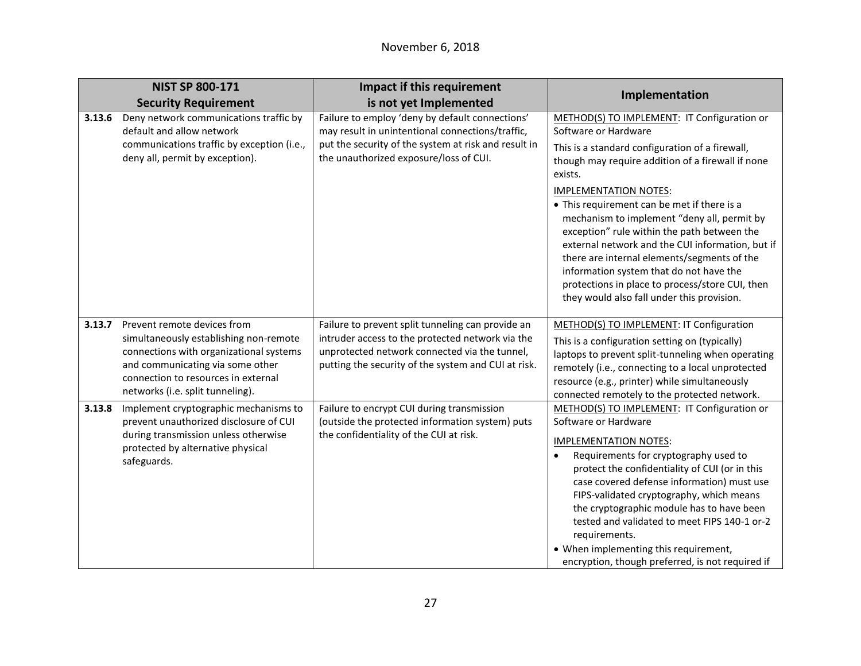| <b>NIST SP 800-171</b> |                                                                                                                                                                                                                                 | Impact if this requirement                                                                                                                                                                                    |                                                                                                                                                                                                                                                                                                                                                                                                                                                                                                                                                                                                                    |
|------------------------|---------------------------------------------------------------------------------------------------------------------------------------------------------------------------------------------------------------------------------|---------------------------------------------------------------------------------------------------------------------------------------------------------------------------------------------------------------|--------------------------------------------------------------------------------------------------------------------------------------------------------------------------------------------------------------------------------------------------------------------------------------------------------------------------------------------------------------------------------------------------------------------------------------------------------------------------------------------------------------------------------------------------------------------------------------------------------------------|
|                        | <b>Security Requirement</b>                                                                                                                                                                                                     | is not yet Implemented                                                                                                                                                                                        | Implementation                                                                                                                                                                                                                                                                                                                                                                                                                                                                                                                                                                                                     |
| 3.13.6                 | Deny network communications traffic by<br>default and allow network<br>communications traffic by exception (i.e.,<br>deny all, permit by exception).                                                                            | Failure to employ 'deny by default connections'<br>may result in unintentional connections/traffic,<br>put the security of the system at risk and result in<br>the unauthorized exposure/loss of CUI.         | METHOD(S) TO IMPLEMENT: IT Configuration or<br>Software or Hardware<br>This is a standard configuration of a firewall,<br>though may require addition of a firewall if none<br>exists.<br><b>IMPLEMENTATION NOTES:</b><br>• This requirement can be met if there is a<br>mechanism to implement "deny all, permit by<br>exception" rule within the path between the<br>external network and the CUI information, but if<br>there are internal elements/segments of the<br>information system that do not have the<br>protections in place to process/store CUI, then<br>they would also fall under this provision. |
| 3.13.7                 | Prevent remote devices from<br>simultaneously establishing non-remote<br>connections with organizational systems<br>and communicating via some other<br>connection to resources in external<br>networks (i.e. split tunneling). | Failure to prevent split tunneling can provide an<br>intruder access to the protected network via the<br>unprotected network connected via the tunnel,<br>putting the security of the system and CUI at risk. | METHOD(S) TO IMPLEMENT: IT Configuration<br>This is a configuration setting on (typically)<br>laptops to prevent split-tunneling when operating<br>remotely (i.e., connecting to a local unprotected<br>resource (e.g., printer) while simultaneously<br>connected remotely to the protected network.                                                                                                                                                                                                                                                                                                              |
| 3.13.8                 | Implement cryptographic mechanisms to<br>prevent unauthorized disclosure of CUI<br>during transmission unless otherwise<br>protected by alternative physical<br>safeguards.                                                     | Failure to encrypt CUI during transmission<br>(outside the protected information system) puts<br>the confidentiality of the CUI at risk.                                                                      | METHOD(S) TO IMPLEMENT: IT Configuration or<br>Software or Hardware<br><b>IMPLEMENTATION NOTES:</b><br>Requirements for cryptography used to<br>$\bullet$<br>protect the confidentiality of CUI (or in this<br>case covered defense information) must use<br>FIPS-validated cryptography, which means<br>the cryptographic module has to have been<br>tested and validated to meet FIPS 140-1 or-2<br>requirements.<br>• When implementing this requirement,<br>encryption, though preferred, is not required if                                                                                                   |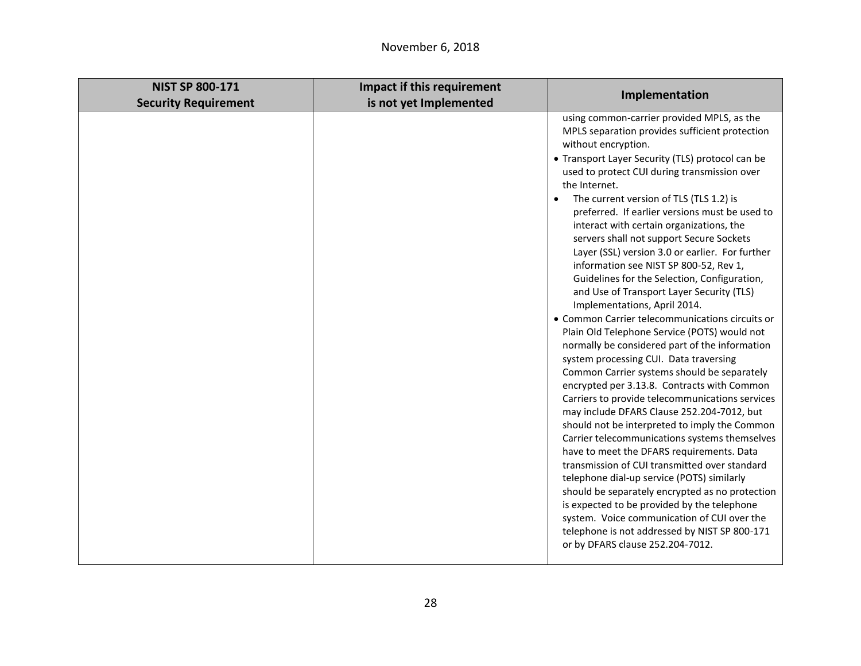| <b>NIST SP 800-171</b>      | Impact if this requirement | Implementation                                                                                                                                                                                                                                                                                                                                                                                                                                                                                                                                                                                                                                                                                                                                                                                                                                                                                                                                                                                                                                                                                                                                                                                                                                                                                                                                                                                                                                                                                                                            |
|-----------------------------|----------------------------|-------------------------------------------------------------------------------------------------------------------------------------------------------------------------------------------------------------------------------------------------------------------------------------------------------------------------------------------------------------------------------------------------------------------------------------------------------------------------------------------------------------------------------------------------------------------------------------------------------------------------------------------------------------------------------------------------------------------------------------------------------------------------------------------------------------------------------------------------------------------------------------------------------------------------------------------------------------------------------------------------------------------------------------------------------------------------------------------------------------------------------------------------------------------------------------------------------------------------------------------------------------------------------------------------------------------------------------------------------------------------------------------------------------------------------------------------------------------------------------------------------------------------------------------|
| <b>Security Requirement</b> | is not yet Implemented     |                                                                                                                                                                                                                                                                                                                                                                                                                                                                                                                                                                                                                                                                                                                                                                                                                                                                                                                                                                                                                                                                                                                                                                                                                                                                                                                                                                                                                                                                                                                                           |
|                             |                            | using common-carrier provided MPLS, as the<br>MPLS separation provides sufficient protection<br>without encryption.<br>• Transport Layer Security (TLS) protocol can be<br>used to protect CUI during transmission over<br>the Internet.<br>The current version of TLS (TLS 1.2) is<br>preferred. If earlier versions must be used to<br>interact with certain organizations, the<br>servers shall not support Secure Sockets<br>Layer (SSL) version 3.0 or earlier. For further<br>information see NIST SP 800-52, Rev 1,<br>Guidelines for the Selection, Configuration,<br>and Use of Transport Layer Security (TLS)<br>Implementations, April 2014.<br>• Common Carrier telecommunications circuits or<br>Plain Old Telephone Service (POTS) would not<br>normally be considered part of the information<br>system processing CUI. Data traversing<br>Common Carrier systems should be separately<br>encrypted per 3.13.8. Contracts with Common<br>Carriers to provide telecommunications services<br>may include DFARS Clause 252.204-7012, but<br>should not be interpreted to imply the Common<br>Carrier telecommunications systems themselves<br>have to meet the DFARS requirements. Data<br>transmission of CUI transmitted over standard<br>telephone dial-up service (POTS) similarly<br>should be separately encrypted as no protection<br>is expected to be provided by the telephone<br>system. Voice communication of CUI over the<br>telephone is not addressed by NIST SP 800-171<br>or by DFARS clause 252.204-7012. |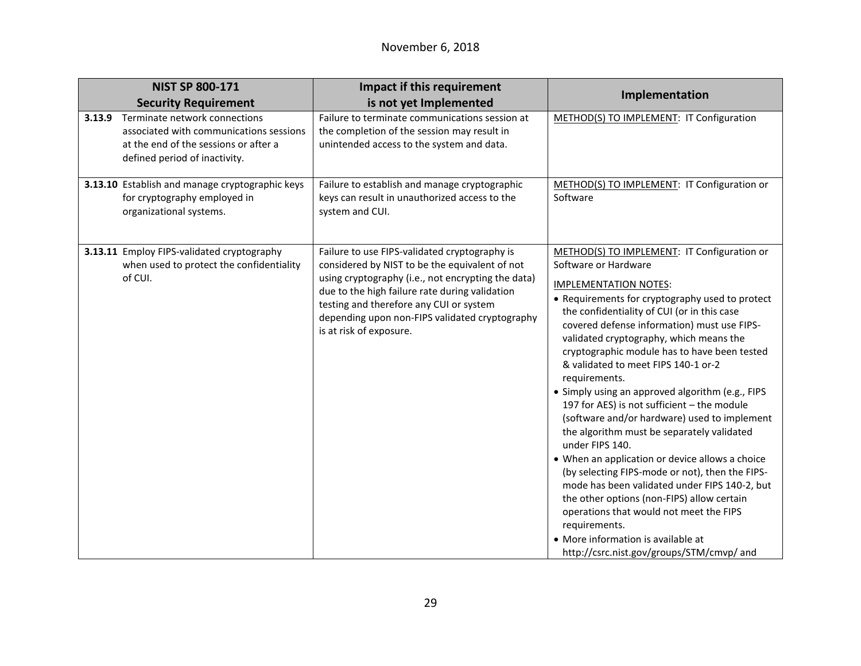|        | <b>NIST SP 800-171</b>                                                                                                                             | <b>Impact if this requirement</b>                                                                                                                                                                                                                                                                                               | Implementation                                                                                                                                                                                                                                                                                                                                                                                                                                                                                                                                                                                                                                                                                                                                                                                                                                                                                                                                                                  |
|--------|----------------------------------------------------------------------------------------------------------------------------------------------------|---------------------------------------------------------------------------------------------------------------------------------------------------------------------------------------------------------------------------------------------------------------------------------------------------------------------------------|---------------------------------------------------------------------------------------------------------------------------------------------------------------------------------------------------------------------------------------------------------------------------------------------------------------------------------------------------------------------------------------------------------------------------------------------------------------------------------------------------------------------------------------------------------------------------------------------------------------------------------------------------------------------------------------------------------------------------------------------------------------------------------------------------------------------------------------------------------------------------------------------------------------------------------------------------------------------------------|
|        | <b>Security Requirement</b>                                                                                                                        | is not yet Implemented                                                                                                                                                                                                                                                                                                          |                                                                                                                                                                                                                                                                                                                                                                                                                                                                                                                                                                                                                                                                                                                                                                                                                                                                                                                                                                                 |
| 3.13.9 | Terminate network connections<br>associated with communications sessions<br>at the end of the sessions or after a<br>defined period of inactivity. | Failure to terminate communications session at<br>the completion of the session may result in<br>unintended access to the system and data.                                                                                                                                                                                      | METHOD(S) TO IMPLEMENT: IT Configuration                                                                                                                                                                                                                                                                                                                                                                                                                                                                                                                                                                                                                                                                                                                                                                                                                                                                                                                                        |
|        | 3.13.10 Establish and manage cryptographic keys<br>for cryptography employed in<br>organizational systems.                                         | Failure to establish and manage cryptographic<br>keys can result in unauthorized access to the<br>system and CUI.                                                                                                                                                                                                               | METHOD(S) TO IMPLEMENT: IT Configuration or<br>Software                                                                                                                                                                                                                                                                                                                                                                                                                                                                                                                                                                                                                                                                                                                                                                                                                                                                                                                         |
|        | 3.13.11 Employ FIPS-validated cryptography<br>when used to protect the confidentiality<br>of CUI.                                                  | Failure to use FIPS-validated cryptography is<br>considered by NIST to be the equivalent of not<br>using cryptography (i.e., not encrypting the data)<br>due to the high failure rate during validation<br>testing and therefore any CUI or system<br>depending upon non-FIPS validated cryptography<br>is at risk of exposure. | METHOD(S) TO IMPLEMENT: IT Configuration or<br>Software or Hardware<br><b>IMPLEMENTATION NOTES:</b><br>• Requirements for cryptography used to protect<br>the confidentiality of CUI (or in this case<br>covered defense information) must use FIPS-<br>validated cryptography, which means the<br>cryptographic module has to have been tested<br>& validated to meet FIPS 140-1 or-2<br>requirements.<br>• Simply using an approved algorithm (e.g., FIPS<br>197 for AES) is not sufficient - the module<br>(software and/or hardware) used to implement<br>the algorithm must be separately validated<br>under FIPS 140.<br>• When an application or device allows a choice<br>(by selecting FIPS-mode or not), then the FIPS-<br>mode has been validated under FIPS 140-2, but<br>the other options (non-FIPS) allow certain<br>operations that would not meet the FIPS<br>requirements.<br>• More information is available at<br>http://csrc.nist.gov/groups/STM/cmvp/ and |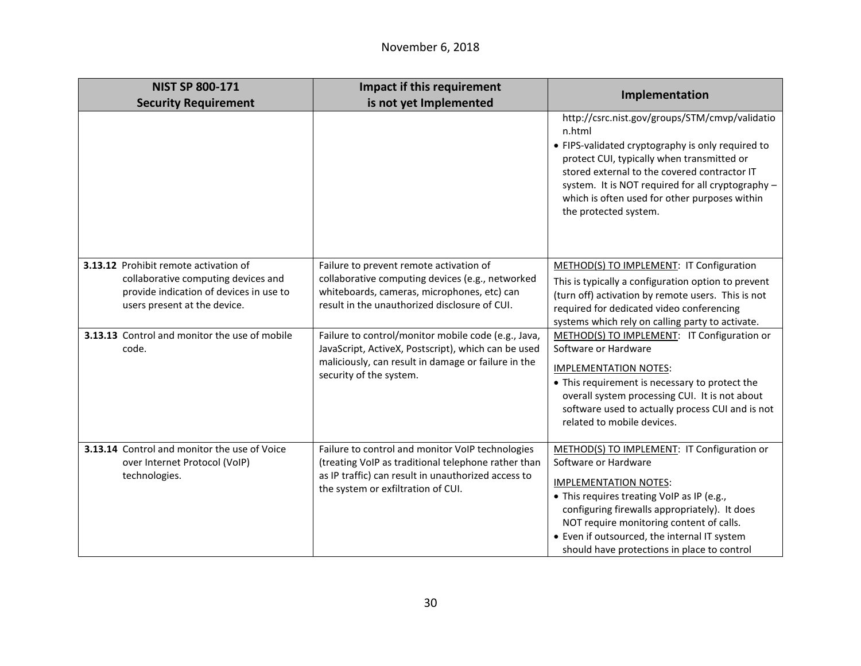| <b>NIST SP 800-171</b>                                                                                                                                  | Impact if this requirement                                                                                                                                                                           |                                                                                                                                                                                                                                                                                                                                               |
|---------------------------------------------------------------------------------------------------------------------------------------------------------|------------------------------------------------------------------------------------------------------------------------------------------------------------------------------------------------------|-----------------------------------------------------------------------------------------------------------------------------------------------------------------------------------------------------------------------------------------------------------------------------------------------------------------------------------------------|
| <b>Security Requirement</b>                                                                                                                             | is not yet Implemented                                                                                                                                                                               | Implementation                                                                                                                                                                                                                                                                                                                                |
|                                                                                                                                                         |                                                                                                                                                                                                      | http://csrc.nist.gov/groups/STM/cmvp/validatio<br>n.html<br>• FIPS-validated cryptography is only required to<br>protect CUI, typically when transmitted or<br>stored external to the covered contractor IT<br>system. It is NOT required for all cryptography -<br>which is often used for other purposes within<br>the protected system.    |
| 3.13.12 Prohibit remote activation of<br>collaborative computing devices and<br>provide indication of devices in use to<br>users present at the device. | Failure to prevent remote activation of<br>collaborative computing devices (e.g., networked<br>whiteboards, cameras, microphones, etc) can<br>result in the unauthorized disclosure of CUI.          | METHOD(S) TO IMPLEMENT: IT Configuration<br>This is typically a configuration option to prevent<br>(turn off) activation by remote users. This is not<br>required for dedicated video conferencing<br>systems which rely on calling party to activate.                                                                                        |
| 3.13.13 Control and monitor the use of mobile<br>code.                                                                                                  | Failure to control/monitor mobile code (e.g., Java,<br>JavaScript, ActiveX, Postscript), which can be used<br>maliciously, can result in damage or failure in the<br>security of the system.         | METHOD(S) TO IMPLEMENT: IT Configuration or<br>Software or Hardware<br><b>IMPLEMENTATION NOTES:</b><br>• This requirement is necessary to protect the<br>overall system processing CUI. It is not about<br>software used to actually process CUI and is not<br>related to mobile devices.                                                     |
| 3.13.14 Control and monitor the use of Voice<br>over Internet Protocol (VoIP)<br>technologies.                                                          | Failure to control and monitor VoIP technologies<br>(treating VoIP as traditional telephone rather than<br>as IP traffic) can result in unauthorized access to<br>the system or exfiltration of CUI. | METHOD(S) TO IMPLEMENT: IT Configuration or<br>Software or Hardware<br><b>IMPLEMENTATION NOTES:</b><br>• This requires treating VoIP as IP (e.g.,<br>configuring firewalls appropriately). It does<br>NOT require monitoring content of calls.<br>• Even if outsourced, the internal IT system<br>should have protections in place to control |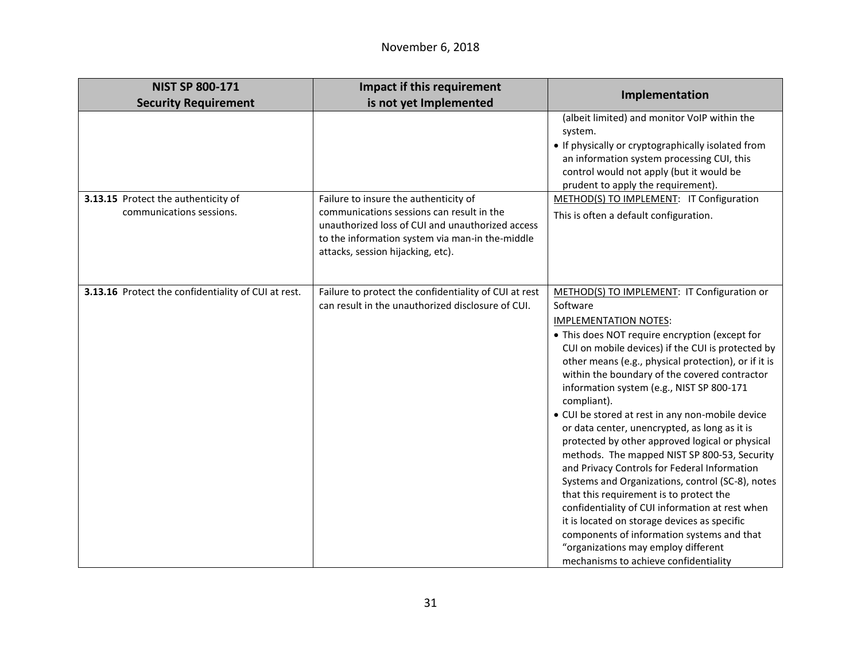| <b>NIST SP 800-171</b>                                          | <b>Impact if this requirement</b>                                                                                                                                                                                              | Implementation                                                                                                                                                                                                                                                                                                                                                                                                                                                                                                                                                                                                                                                                                                                                                                                                                                                                                                                                              |
|-----------------------------------------------------------------|--------------------------------------------------------------------------------------------------------------------------------------------------------------------------------------------------------------------------------|-------------------------------------------------------------------------------------------------------------------------------------------------------------------------------------------------------------------------------------------------------------------------------------------------------------------------------------------------------------------------------------------------------------------------------------------------------------------------------------------------------------------------------------------------------------------------------------------------------------------------------------------------------------------------------------------------------------------------------------------------------------------------------------------------------------------------------------------------------------------------------------------------------------------------------------------------------------|
| <b>Security Requirement</b>                                     | is not yet Implemented                                                                                                                                                                                                         |                                                                                                                                                                                                                                                                                                                                                                                                                                                                                                                                                                                                                                                                                                                                                                                                                                                                                                                                                             |
|                                                                 |                                                                                                                                                                                                                                | (albeit limited) and monitor VoIP within the<br>system.<br>• If physically or cryptographically isolated from<br>an information system processing CUI, this<br>control would not apply (but it would be<br>prudent to apply the requirement).                                                                                                                                                                                                                                                                                                                                                                                                                                                                                                                                                                                                                                                                                                               |
| 3.13.15 Protect the authenticity of<br>communications sessions. | Failure to insure the authenticity of<br>communications sessions can result in the<br>unauthorized loss of CUI and unauthorized access<br>to the information system via man-in the-middle<br>attacks, session hijacking, etc). | METHOD(S) TO IMPLEMENT: IT Configuration<br>This is often a default configuration.                                                                                                                                                                                                                                                                                                                                                                                                                                                                                                                                                                                                                                                                                                                                                                                                                                                                          |
| 3.13.16 Protect the confidentiality of CUI at rest.             | Failure to protect the confidentiality of CUI at rest<br>can result in the unauthorized disclosure of CUI.                                                                                                                     | METHOD(S) TO IMPLEMENT: IT Configuration or<br>Software<br><b>IMPLEMENTATION NOTES:</b><br>• This does NOT require encryption (except for<br>CUI on mobile devices) if the CUI is protected by<br>other means (e.g., physical protection), or if it is<br>within the boundary of the covered contractor<br>information system (e.g., NIST SP 800-171<br>compliant).<br>• CUI be stored at rest in any non-mobile device<br>or data center, unencrypted, as long as it is<br>protected by other approved logical or physical<br>methods. The mapped NIST SP 800-53, Security<br>and Privacy Controls for Federal Information<br>Systems and Organizations, control (SC-8), notes<br>that this requirement is to protect the<br>confidentiality of CUI information at rest when<br>it is located on storage devices as specific<br>components of information systems and that<br>"organizations may employ different<br>mechanisms to achieve confidentiality |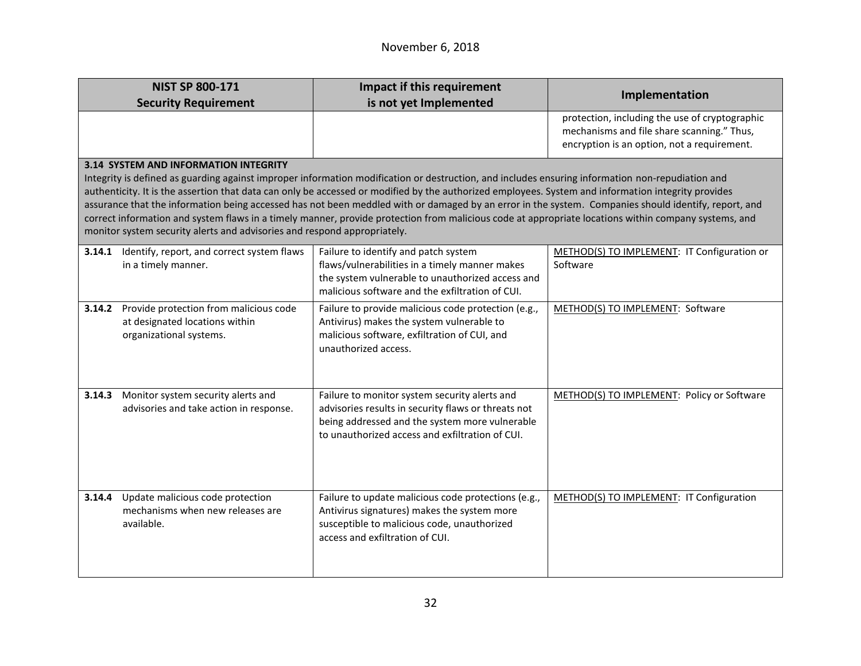|                                                                                                                                                                                                                                                                                                                                                                                                                                                                                                                                                                                                                                                                                                     | <b>NIST SP 800-171</b>                                                                              | <b>Impact if this requirement</b>                                                                                                                                                                         | Implementation                                                                                                                              |
|-----------------------------------------------------------------------------------------------------------------------------------------------------------------------------------------------------------------------------------------------------------------------------------------------------------------------------------------------------------------------------------------------------------------------------------------------------------------------------------------------------------------------------------------------------------------------------------------------------------------------------------------------------------------------------------------------------|-----------------------------------------------------------------------------------------------------|-----------------------------------------------------------------------------------------------------------------------------------------------------------------------------------------------------------|---------------------------------------------------------------------------------------------------------------------------------------------|
|                                                                                                                                                                                                                                                                                                                                                                                                                                                                                                                                                                                                                                                                                                     | <b>Security Requirement</b>                                                                         | is not yet Implemented                                                                                                                                                                                    |                                                                                                                                             |
|                                                                                                                                                                                                                                                                                                                                                                                                                                                                                                                                                                                                                                                                                                     |                                                                                                     |                                                                                                                                                                                                           | protection, including the use of cryptographic<br>mechanisms and file share scanning." Thus,<br>encryption is an option, not a requirement. |
|                                                                                                                                                                                                                                                                                                                                                                                                                                                                                                                                                                                                                                                                                                     | <b>3.14 SYSTEM AND INFORMATION INTEGRITY</b>                                                        |                                                                                                                                                                                                           |                                                                                                                                             |
| Integrity is defined as guarding against improper information modification or destruction, and includes ensuring information non-repudiation and<br>authenticity. It is the assertion that data can only be accessed or modified by the authorized employees. System and information integrity provides<br>assurance that the information being accessed has not been meddled with or damaged by an error in the system. Companies should identify, report, and<br>correct information and system flaws in a timely manner, provide protection from malicious code at appropriate locations within company systems, and<br>monitor system security alerts and advisories and respond appropriately. |                                                                                                     |                                                                                                                                                                                                           |                                                                                                                                             |
| 3.14.1                                                                                                                                                                                                                                                                                                                                                                                                                                                                                                                                                                                                                                                                                              | Identify, report, and correct system flaws<br>in a timely manner.                                   | Failure to identify and patch system<br>flaws/vulnerabilities in a timely manner makes<br>the system vulnerable to unauthorized access and<br>malicious software and the exfiltration of CUI.             | METHOD(S) TO IMPLEMENT: IT Configuration or<br>Software                                                                                     |
| 3.14.2                                                                                                                                                                                                                                                                                                                                                                                                                                                                                                                                                                                                                                                                                              | Provide protection from malicious code<br>at designated locations within<br>organizational systems. | Failure to provide malicious code protection (e.g.,<br>Antivirus) makes the system vulnerable to<br>malicious software, exfiltration of CUI, and<br>unauthorized access.                                  | METHOD(S) TO IMPLEMENT: Software                                                                                                            |
| 3.14.3                                                                                                                                                                                                                                                                                                                                                                                                                                                                                                                                                                                                                                                                                              | Monitor system security alerts and<br>advisories and take action in response.                       | Failure to monitor system security alerts and<br>advisories results in security flaws or threats not<br>being addressed and the system more vulnerable<br>to unauthorized access and exfiltration of CUI. | METHOD(S) TO IMPLEMENT: Policy or Software                                                                                                  |
| 3.14.4                                                                                                                                                                                                                                                                                                                                                                                                                                                                                                                                                                                                                                                                                              | Update malicious code protection<br>mechanisms when new releases are<br>available.                  | Failure to update malicious code protections (e.g.,<br>Antivirus signatures) makes the system more<br>susceptible to malicious code, unauthorized<br>access and exfiltration of CUI.                      | METHOD(S) TO IMPLEMENT: IT Configuration                                                                                                    |